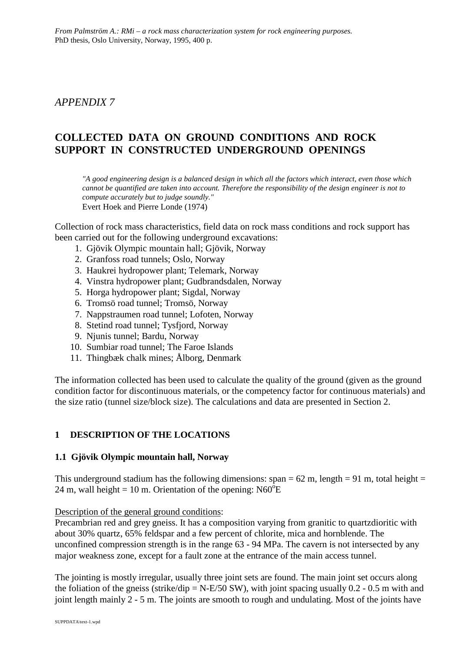# *APPENDIX 7*

# **COLLECTED DATA ON GROUND CONDITIONS AND ROCK SUPPORT IN CONSTRUCTED UNDERGROUND OPENINGS**

*"A good engineering design is a balanced design in which all the factors which interact, even those which cannot be quantified are taken into account. Therefore the responsibility of the design engineer is not to compute accurately but to judge soundly."* Evert Hoek and Pierre Londe (1974)

Collection of rock mass characteristics, field data on rock mass conditions and rock support has been carried out for the following underground excavations:

- 1. Gjövik Olympic mountain hall; Gjövik, Norway
- 2. Granfoss road tunnels; Oslo, Norway
- 3. Haukrei hydropower plant; Telemark, Norway
- 4. Vinstra hydropower plant; Gudbrandsdalen, Norway
- 5. Horga hydropower plant; Sigdal, Norway
- 6. Tromsö road tunnel; Tromsö, Norway
- 7. Nappstraumen road tunnel; Lofoten, Norway
- 8. Stetind road tunnel; Tysfjord, Norway
- 9. Njunis tunnel; Bardu, Norway
- 10. Sumbiar road tunnel; The Faroe Islands
- 11. Thingbæk chalk mines; Ålborg, Denmark

The information collected has been used to calculate the quality of the ground (given as the ground condition factor for discontinuous materials, or the competency factor for continuous materials) and the size ratio (tunnel size/block size). The calculations and data are presented in Section 2.

## **1 DESCRIPTION OF THE LOCATIONS**

## **1.1 Gjövik Olympic mountain hall, Norway**

This underground stadium has the following dimensions: span =  $62$  m, length =  $91$  m, total height = 24 m, wall height = 10 m. Orientation of the opening:  $N60^{\circ}E$ 

Description of the general ground conditions:

Precambrian red and grey gneiss. It has a composition varying from granitic to quartzdioritic with about 30% quartz, 65% feldspar and a few percent of chlorite, mica and hornblende. The unconfined compression strength is in the range 63 - 94 MPa. The cavern is not intersected by any major weakness zone, except for a fault zone at the entrance of the main access tunnel.

The jointing is mostly irregular, usually three joint sets are found. The main joint set occurs along the foliation of the gneiss (strike/dip = N-E/50 SW), with joint spacing usually 0.2 - 0.5 m with and joint length mainly 2 - 5 m. The joints are smooth to rough and undulating. Most of the joints have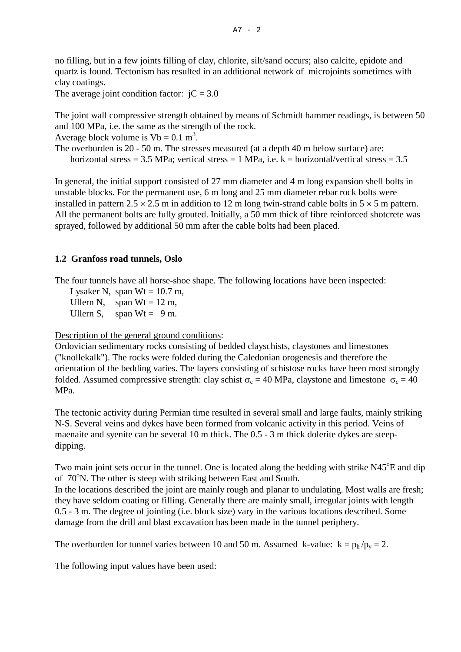no filling, but in a few joints filling of clay, chlorite, silt/sand occurs; also calcite, epidote and quartz is found. Tectonism has resulted in an additional network of microjoints sometimes with clay coatings.

The average joint condition factor:  $\mathrm{iC} = 3.0$ 

The joint wall compressive strength obtained by means of Schmidt hammer readings, is between 50 and 100 MPa, i.e. the same as the strength of the rock.

Average block volume is  $Vb = 0.1$  m<sup>3</sup>.

The overburden is 20 - 50 m. The stresses measured (at a depth 40 m below surface) are: horizontal stress = 3.5 MPa; vertical stress = 1 MPa, i.e.  $k =$  horizontal/vertical stress = 3.5

In general, the initial support consisted of 27 mm diameter and 4 m long expansion shell bolts in unstable blocks. For the permanent use, 6 m long and 25 mm diameter rebar rock bolts were installed in pattern  $2.5 \times 2.5$  m in addition to 12 m long twin-strand cable bolts in  $5 \times 5$  m pattern. All the permanent bolts are fully grouted. Initially, a 50 mm thick of fibre reinforced shotcrete was sprayed, followed by additional 50 mm after the cable bolts had been placed.

# **1.2 Granfoss road tunnels, Oslo**

The four tunnels have all horse-shoe shape. The following locations have been inspected:

Lysaker N, span  $Wt = 10.7$  m,

Ullern N, span  $Wt = 12$  m, Ullern S, span  $Wt = 9$  m.

Description of the general ground conditions:

Ordovician sedimentary rocks consisting of bedded clayschists, claystones and limestones ("knollekalk"). The rocks were folded during the Caledonian orogenesis and therefore the orientation of the bedding varies. The layers consisting of schistose rocks have been most strongly folded. Assumed compressive strength: clay schist  $\sigma_c = 40 \text{ MPa}$ , claystone and limestone  $\sigma_c = 40$ MPa.

The tectonic activity during Permian time resulted in several small and large faults, mainly striking N-S. Several veins and dykes have been formed from volcanic activity in this period. Veins of maenaite and syenite can be several 10 m thick. The 0.5 - 3 m thick dolerite dykes are steepdipping.

Two main joint sets occur in the tunnel. One is located along the bedding with strike N45°E and dip of 70°N. The other is steep with striking between East and South.

In the locations described the joint are mainly rough and planar to undulating. Most walls are fresh; they have seldom coating or filling. Generally there are mainly small, irregular joints with length 0.5 - 3 m. The degree of jointing (i.e. block size) vary in the various locations described. Some damage from the drill and blast excavation has been made in the tunnel periphery.

The overburden for tunnel varies between 10 and 50 m. Assumed k-value:  $k = p_h / p_v = 2$ .

The following input values have been used: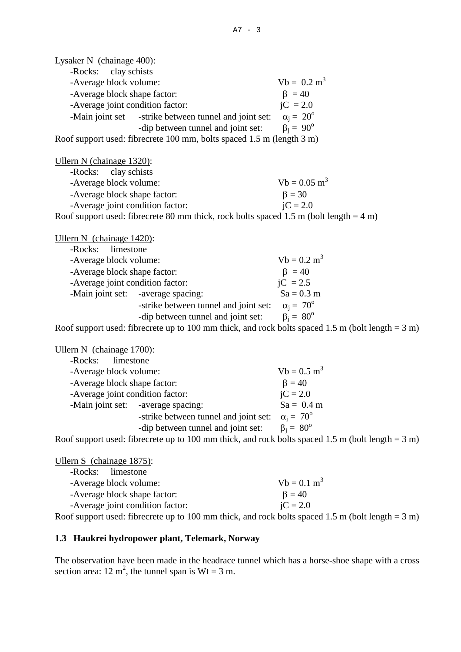| Lysaker N (chainage 400):                                                                         |                            |
|---------------------------------------------------------------------------------------------------|----------------------------|
| -Rocks:<br>clay schists                                                                           |                            |
| -Average block volume:                                                                            | $Vb = 0.2 m3$              |
| -Average block shape factor:                                                                      | $\beta = 40$               |
| -Average joint condition factor:                                                                  | $jC = 2.0$                 |
| -Main joint set -strike between tunnel and joint set:                                             | $\alpha_j = 20^\circ$      |
| -dip between tunnel and joint set:                                                                | $\beta_i = 90^\circ$       |
| Roof support used: fibrecrete 100 mm, bolts spaced 1.5 m (length 3 m)                             |                            |
| Ullern N (chainage 1320):                                                                         |                            |
| -Rocks:<br>clay schists                                                                           |                            |
| -Average block volume:                                                                            | $Vb = 0.05$ m <sup>3</sup> |
| -Average block shape factor:                                                                      | $\beta = 30$               |
| -Average joint condition factor:                                                                  | $iC = 2.0$                 |
| Roof support used: fibrecrete 80 mm thick, rock bolts spaced 1.5 m (bolt length $=$ 4 m)          |                            |
| Ullern N (chainage $1420$ ):                                                                      |                            |
| limestone<br>-Rocks:                                                                              |                            |
| -Average block volume:                                                                            | $Vb = 0.2 m3$              |
| -Average block shape factor:                                                                      | $\beta = 40$               |
| -Average joint condition factor:                                                                  | $iC = 2.5$                 |
| -Main joint set: -average spacing:                                                                | $Sa = 0.3$ m               |
| -strike between tunnel and joint set: $\alpha_i = 70^\circ$                                       |                            |
| -dip between tunnel and joint set: $\beta_i = 80^\circ$                                           |                            |
| Roof support used: fibrecrete up to 100 mm thick, and rock bolts spaced 1.5 m (bolt length = 3 m) |                            |
| Ullern N (chainage 1700):                                                                         |                            |
| limestone<br>-Rocks:                                                                              |                            |
| -Average block volume:                                                                            | $Vb = 0.5$ m <sup>3</sup>  |
| -Average block shape factor:                                                                      | $\beta = 40$               |
| -Average joint condition factor:                                                                  | $iC = 2.0$                 |
| -Main joint set:<br>-average spacing:                                                             | $Sa = 0.4 m$               |
| -strike between tunnel and joint set:                                                             | $\alpha_i = 70^\circ$      |
| -dip between tunnel and joint set:                                                                | $\beta_i = 80^\circ$       |
| Roof support used: fibrecrete up to 100 mm thick, and rock bolts spaced 1.5 m (bolt length = 3 m) |                            |
| Ullern S (chainage 1875):                                                                         |                            |
| limestone<br>-Rocks:                                                                              |                            |
| -Average block volume:                                                                            | $Vb = 0.1$ m <sup>3</sup>  |
| -Average block shape factor:                                                                      | $\beta = 40$               |
| -Average joint condition factor:                                                                  | $jC = 2.0$                 |

Roof support used: fibrecrete up to 100 mm thick, and rock bolts spaced 1.5 m (bolt length  $= 3$  m)

# **1.3 Haukrei hydropower plant, Telemark, Norway**

The observation have been made in the headrace tunnel which has a horse-shoe shape with a cross section area: 12 m<sup>2</sup>, the tunnel span is Wt = 3 m.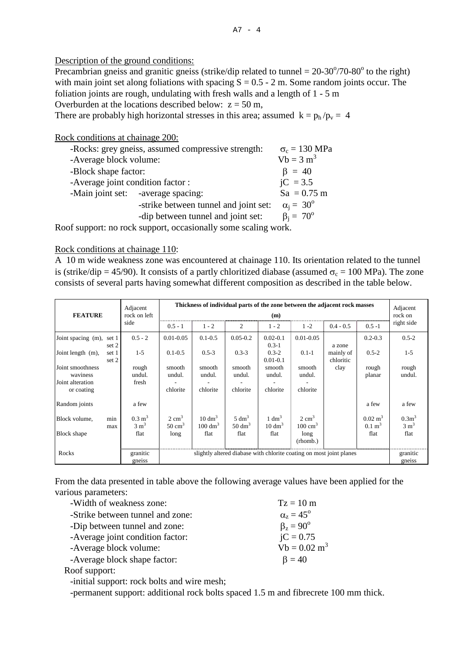Description of the ground conditions:

Precambrian gneiss and granitic gneiss (strike/dip related to tunnel =  $20-30^{\circ}/70-80^{\circ}$  to the right) with main joint set along foliations with spacing  $S = 0.5 - 2$  m. Some random joints occur. The foliation joints are rough, undulating with fresh walls and a length of 1 - 5 m Overburden at the locations described below:  $z = 50$  m,

There are probably high horizontal stresses in this area; assumed  $k = p_h / p_v = 4$ 

Rock conditions at chainage 200:

|                                  | -Rocks: grey gneiss, assumed compressive strength: | $\sigma_c = 130 \text{ MPa}$ |
|----------------------------------|----------------------------------------------------|------------------------------|
| -Average block volume:           |                                                    | $Vb = 3 m3$                  |
| -Block shape factor:             |                                                    | $\beta = 40$                 |
| -Average joint condition factor: |                                                    | $iC = 3.5$                   |
|                                  | -Main joint set: -average spacing:                 | $Sa = 0.75 m$                |
|                                  | -strike between tunnel and joint set:              | $\alpha_i = 30^\circ$        |
|                                  | -dip between tunnel and joint set:                 | $\beta_i = 70^{\circ}$       |
|                                  | $\mathcal{C}$ , 1, 1, 1, 1, 1, 1, 1,               |                              |

Roof support: no rock support, occasionally some scaling work.

Rock conditions at chainage 110:

A 10 m wide weakness zone was encountered at chainage 110. Its orientation related to the tunnel is (strike/dip = 45/90). It consists of a partly chloritized diabase (assumed  $\sigma_c = 100 \text{ MPa}$ ). The zone consists of several parts having somewhat different composition as described in the table below.

| Adjacent<br><b>FEATURE</b><br>rock on left |                | Thickness of individual parts of the zone between the adjacent rock masses<br>(m) |                                       |                                         |                                       |                                       |                                        | Adjacent<br>rock on                                                 |                                         |                                      |
|--------------------------------------------|----------------|-----------------------------------------------------------------------------------|---------------------------------------|-----------------------------------------|---------------------------------------|---------------------------------------|----------------------------------------|---------------------------------------------------------------------|-----------------------------------------|--------------------------------------|
|                                            |                | side                                                                              | $0.5 - 1$                             | $1 - 2$                                 | 2                                     | $1 - 2$                               | $1 - 2$                                | $0.4 - 0.5$                                                         | $0.5 - 1$                               | right side                           |
| Joint spacing (m),                         | set 1<br>set 2 | $0.5 - 2$                                                                         | $0.01 - 0.05$                         | $0.1 - 0.5$                             | $0.05 - 0.2$                          | $0.02 - 0.1$<br>$0.3 - 1$             | $0.01 - 0.05$                          | a zone                                                              | $0.2 - 0.3$                             | $0.5 - 2$                            |
| Joint length (m),                          | set 1<br>set 2 | $1-5$                                                                             | $0.1 - 0.5$                           | $0.5 - 3$                               | $0.3 - 3$                             | $0.3 - 2$<br>$0.01 - 0.1$             | $0.1 - 1$                              | mainly of<br>chloritic                                              | $0.5 - 2$                               | $1 - 5$                              |
| Joint smoothness<br>waviness               |                | rough<br>undul.                                                                   | smooth<br>undul.                      | smooth<br>undul.                        | smooth<br>undul.                      | smooth<br>undul.                      | smooth<br>undul.                       | clay                                                                | rough<br>planar                         | rough<br>undul.                      |
| Joint alteration<br>or coating             |                | fresh                                                                             | chlorite                              | chlorite                                | chlorite                              | chlorite                              | chlorite                               |                                                                     |                                         |                                      |
| Random joints                              |                | a few                                                                             |                                       |                                         |                                       |                                       |                                        |                                                                     | a few                                   | a few                                |
| Block volume,                              | min<br>max     | $0.3 \text{ m}^3$<br>$3 \text{ m}^3$                                              | $2 \text{ cm}^3$<br>$50 \text{ cm}^3$ | $10 \text{ dm}^3$<br>$100 \text{ dm}^3$ | $5 \text{ dm}^3$<br>$50 \text{ dm}^3$ | $1 \text{ dm}^3$<br>$10 \text{ dm}^3$ | $2 \text{ cm}^3$<br>$100 \text{ cm}^3$ |                                                                     | $0.02 \text{ m}^3$<br>$0.1 \text{ m}^3$ | 0.3m <sup>3</sup><br>$3 \text{ m}^3$ |
| <b>Block</b> shape                         |                | flat                                                                              | long                                  | flat                                    | flat                                  | flat                                  | long<br>(rhomb.)                       |                                                                     | flat                                    | flat                                 |
| Rocks                                      |                | granitic<br>gneiss                                                                |                                       |                                         |                                       |                                       |                                        | slightly altered diabase with chlorite coating on most joint planes |                                         | granitic<br>gneiss                   |

From the data presented in table above the following average values have been applied for the various parameters:

| -Width of weakness zone:         | $Tz = 10$ m                |
|----------------------------------|----------------------------|
| -Strike between tunnel and zone: | $\alpha_z = 45^\circ$      |
| -Dip between tunnel and zone:    | $\beta_z = 90^\circ$       |
| -Average joint condition factor: | $iC = 0.75$                |
| -Average block volume:           | $Vb = 0.02$ m <sup>3</sup> |
| -Average block shape factor:     | $\beta = 40$               |
|                                  |                            |

Roof support:

-initial support: rock bolts and wire mesh;

-permanent support: additional rock bolts spaced 1.5 m and fibrecrete 100 mm thick.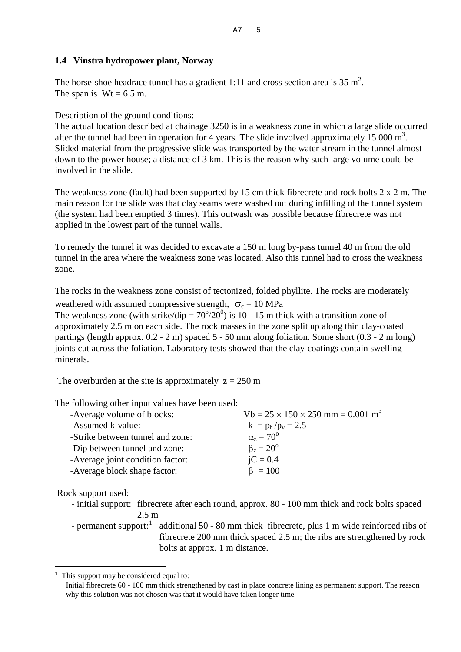## **1.4 Vinstra hydropower plant, Norway**

The horse-shoe headrace tunnel has a gradient 1:11 and cross section area is 35 m<sup>2</sup>. The span is  $Wt = 6.5$  m.

## Description of the ground conditions:

The actual location described at chainage 3250 is in a weakness zone in which a large slide occurred after the tunnel had been in operation for 4 years. The slide involved approximately 15 000  $m^3$ . Slided material from the progressive slide was transported by the water stream in the tunnel almost down to the power house; a distance of 3 km. This is the reason why such large volume could be involved in the slide.

The weakness zone (fault) had been supported by 15 cm thick fibrecrete and rock bolts  $2 \times 2$  m. The main reason for the slide was that clay seams were washed out during infilling of the tunnel system (the system had been emptied 3 times). This outwash was possible because fibrecrete was not applied in the lowest part of the tunnel walls.

To remedy the tunnel it was decided to excavate a 150 m long by-pass tunnel 40 m from the old tunnel in the area where the weakness zone was located. Also this tunnel had to cross the weakness zone.

The rocks in the weakness zone consist of tectonized, folded phyllite. The rocks are moderately

weathered with assumed compressive strength,  $\sigma_c = 10 \text{ MPa}$ The weakness zone (with strike/dip =  $70^{\circ}/20^{\circ}$ ) is 10 - 15 m thick with a transition zone of approximately 2.5 m on each side. The rock masses in the zone split up along thin clay-coated partings (length approx. 0.2 - 2 m) spaced 5 - 50 mm along foliation. Some short (0.3 - 2 m long) joints cut across the foliation. Laboratory tests showed that the clay-coatings contain swelling minerals.

The overburden at the site is approximately  $z = 250$  m

The following other input values have been used:

| -Average volume of blocks:       | $Vb = 25 \times 150 \times 250$ mm = 0.001 m <sup>3</sup> |
|----------------------------------|-----------------------------------------------------------|
| -Assumed k-value:                | $k = p_h / p_v = 2.5$                                     |
| -Strike between tunnel and zone: | $\alpha_z = 70^\circ$                                     |
| -Dip between tunnel and zone:    | $\beta_z = 20^\circ$                                      |
| -Average joint condition factor: | $iC = 0.4$                                                |
| -Average block shape factor:     | $\beta = 100$                                             |
|                                  |                                                           |

Rock support used:

- initial support: fibrecrete after each round, approx. 80 - 100 mm thick and rock bolts spaced 2.5 m

- permanent support:<sup>[1](#page-4-0)</sup> additional 50 - 80 mm thick fibrecrete, plus 1 m wide reinforced ribs of fibrecrete 200 mm thick spaced 2.5 m; the ribs are strengthened by rock bolts at approx. 1 m distance.

<span id="page-4-0"></span>This support may be considered equal to:

Initial fibrecrete 60 - 100 mm thick strengthened by cast in place concrete lining as permanent support. The reason why this solution was not chosen was that it would have taken longer time.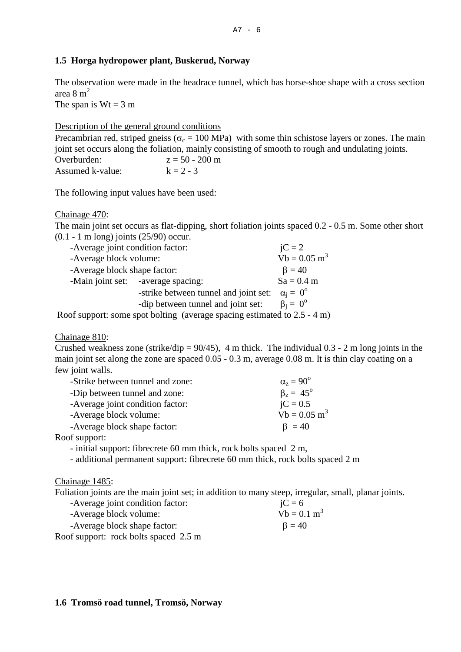## **1.5 Horga hydropower plant, Buskerud, Norway**

The observation were made in the headrace tunnel, which has horse-shoe shape with a cross section area 8 m<sup>2</sup>

The span is  $Wt = 3$  m

Description of the general ground conditions

Precambrian red, striped gneiss ( $\sigma_c = 100 \text{ MPa}$ ) with some thin schistose layers or zones. The main joint set occurs along the foliation, mainly consisting of smooth to rough and undulating joints. Overburden:  $z = 50 - 200$  m

Assumed k-value:  $k = 2 - 3$ 

The following input values have been used:

Chainage 470:

The main joint set occurs as flat-dipping, short foliation joints spaced 0.2 - 0.5 m. Some other short (0.1 - 1 m long) joints (25/90) occur.

| -Average joint condition factor: |                                                                                                                                                                                    | $iC = 2$                   |
|----------------------------------|------------------------------------------------------------------------------------------------------------------------------------------------------------------------------------|----------------------------|
| -Average block volume:           |                                                                                                                                                                                    | $Vb = 0.05$ m <sup>3</sup> |
| -Average block shape factor:     |                                                                                                                                                                                    | $\beta = 40$               |
|                                  | -Main joint set: -average spacing:                                                                                                                                                 | $Sa = 0.4$ m               |
|                                  | -strike between tunnel and joint set:                                                                                                                                              | $\alpha_i = 0^{\circ}$     |
|                                  | -dip between tunnel and joint set:                                                                                                                                                 | $\beta_i = 0^\circ$        |
|                                  | $\mathcal{L}$ constructs that $\mathcal{L}$ is $\mathcal{L}$ is the set of $\mathcal{L}$ is the set of $\mathcal{L}$ is $\mathcal{L}$ is $\mathcal{L}$ is the set of $\mathcal{L}$ |                            |

Roof support: some spot bolting (average spacing estimated to 2.5 - 4 m)

Chainage 810:

Crushed weakness zone (strike/dip =  $90/45$ ), 4 m thick. The individual 0.3 - 2 m long joints in the main joint set along the zone are spaced 0.05 - 0.3 m, average 0.08 m. It is thin clay coating on a few joint walls.

| -Strike between tunnel and zone: | $\alpha_z = 90^\circ$      |
|----------------------------------|----------------------------|
| -Dip between tunnel and zone:    | $\beta_{z} = 45^{\circ}$   |
| -Average joint condition factor: | $iC = 0.5$                 |
| -Average block volume:           | $Vb = 0.05$ m <sup>3</sup> |
| -Average block shape factor:     | $\beta = 40$               |

Roof support:

- initial support: fibrecrete 60 mm thick, rock bolts spaced 2 m,

- additional permanent support: fibrecrete 60 mm thick, rock bolts spaced 2 m

Chainage 1485:

Foliation joints are the main joint set; in addition to many steep, irregular, small, planar joints.

| -Average joint condition factor:    | $iC = 6$      |
|-------------------------------------|---------------|
| -Average block volume:              | $Vb = 0.1 m3$ |
| -Average block shape factor:        | $\beta = 40$  |
| of sunnorty rock holts snaced 2.5 m |               |

Roof support: rock bolts spaced 2.5 m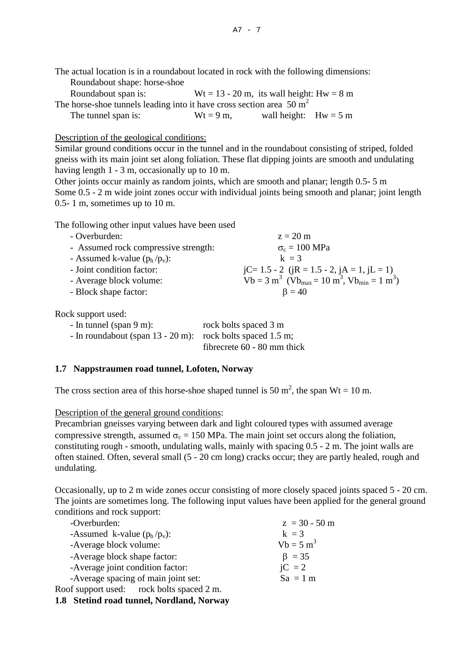The actual location is in a roundabout located in rock with the following dimensions: Roundabout shape: horse-shoe

Roundabout span is:  $Wt = 13 - 20$  m, its wall height:  $Hw = 8$  m The horse-shoe tunnels leading into it have cross section area  $50 \text{ m}^2$ The tunnel span is:  $Wt = 9$  m, wall height:  $Hw = 5$  m

Description of the geological conditions:

Similar ground conditions occur in the tunnel and in the roundabout consisting of striped, folded gneiss with its main joint set along foliation. These flat dipping joints are smooth and undulating having length 1 - 3 m, occasionally up to 10 m.

Other joints occur mainly as random joints, which are smooth and planar; length 0.5- 5 m Some 0.5 - 2 m wide joint zones occur with individual joints being smooth and planar; joint length 0.5- 1 m, sometimes up to 10 m.

The following other input values have been used

| - Overburden:                        | $z = 20$ m                                                                                                                                          |
|--------------------------------------|-----------------------------------------------------------------------------------------------------------------------------------------------------|
| - Assumed rock compressive strength: | $\sigma_c = 100 \text{ MPa}$                                                                                                                        |
| - Assumed k-value $(p_h/p_v)$ :      | $k = 3$                                                                                                                                             |
| - Joint condition factor:            | jC= 1.5 - 2 (jR = 1.5 - 2, jA = 1, jL = 1)<br>Vb = 3 m <sup>3</sup> (Vb <sub>max</sub> = 10 m <sup>3</sup> , Vb <sub>min</sub> = 1 m <sup>3</sup> ) |
| - Average block volume:              |                                                                                                                                                     |
| - Block shape factor:                | $\beta = 40$                                                                                                                                        |
|                                      |                                                                                                                                                     |

Rock support used:

| - In tunnel (span $9 \text{ m}$ ):                           | rock bolts spaced 3 m       |
|--------------------------------------------------------------|-----------------------------|
| - In roundabout (span $13 - 20$ m): rock bolts spaced 1.5 m; |                             |
|                                                              | fibrecrete 60 - 80 mm thick |

## **1.7 Nappstraumen road tunnel, Lofoten, Norway**

The cross section area of this horse-shoe shaped tunnel is 50 m<sup>2</sup>, the span Wt = 10 m.

Description of the general ground conditions:

Precambrian gneisses varying between dark and light coloured types with assumed average compressive strength, assumed  $\sigma_c = 150$  MPa. The main joint set occurs along the foliation, constituting rough - smooth, undulating walls, mainly with spacing 0.5 - 2 m. The joint walls are often stained. Often, several small (5 - 20 cm long) cracks occur; they are partly healed, rough and undulating.

Occasionally, up to 2 m wide zones occur consisting of more closely spaced joints spaced 5 - 20 cm. The joints are sometimes long. The following input values have been applied for the general ground conditions and rock support:

| -Overburden:                              | $z = 30 - 50$ m |
|-------------------------------------------|-----------------|
| -Assumed k-value $(p_h/p_v)$ :            | $k = 3$         |
| -Average block volume:                    | $Vb = 5 m3$     |
| -Average block shape factor:              | $\beta = 35$    |
| -Average joint condition factor:          | $iC = 2$        |
| -Average spacing of main joint set:       | $Sa = 1 m$      |
| Roof support used: rock bolts spaced 2 m. |                 |
|                                           |                 |

## **1.8 Stetind road tunnel, Nordland, Norway**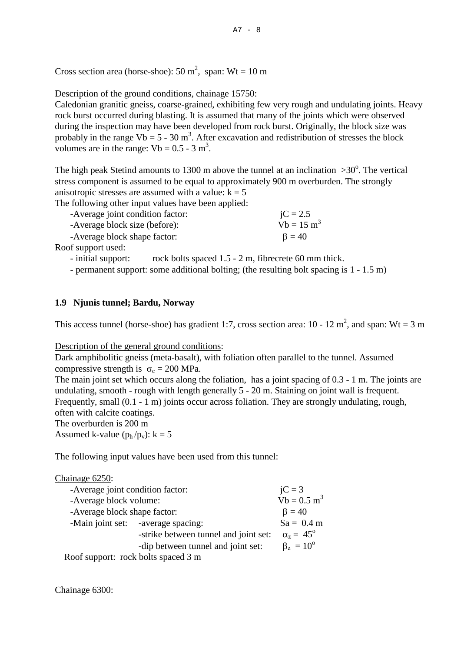A7 - 8

Cross section area (horse-shoe):  $50 \text{ m}^2$ , span: Wt = 10 m

Description of the ground conditions, chainage 15750:

Caledonian granitic gneiss, coarse-grained, exhibiting few very rough and undulating joints. Heavy rock burst occurred during blasting. It is assumed that many of the joints which were observed during the inspection may have been developed from rock burst. Originally, the block size was probably in the range Vb =  $5 - 30$  m<sup>3</sup>. After excavation and redistribution of stresses the block volumes are in the range:  $Vb = 0.5 - 3$  m<sup>3</sup>.

The high peak Stetind amounts to 1300 m above the tunnel at an inclination  $>30^{\circ}$ . The vertical stress component is assumed to be equal to approximately 900 m overburden. The strongly anisotropic stresses are assumed with a value:  $k = 5$ 

The following other input values have been applied:

| -Average joint condition factor: | $iC = 2.5$            |
|----------------------------------|-----------------------|
| -Average block size (before):    | $Vb = 15 \text{ m}^3$ |
| -Average block shape factor:     | $\beta = 40$          |
| of gunnart ugadi                 |                       |

Roof support used:

- initial support: rock bolts spaced 1.5 - 2 m, fibrecrete 60 mm thick.

- permanent support: some additional bolting; (the resulting bolt spacing is 1 - 1.5 m)

# **1.9 Njunis tunnel; Bardu, Norway**

This access tunnel (horse-shoe) has gradient 1:7, cross section area:  $10 - 12 \text{ m}^2$ , and span: Wt = 3 m

Description of the general ground conditions:

Dark amphibolitic gneiss (meta-basalt), with foliation often parallel to the tunnel. Assumed compressive strength is  $\sigma_c = 200 \text{ MPa}$ .

The main joint set which occurs along the foliation, has a joint spacing of 0.3 - 1 m. The joints are undulating, smooth - rough with length generally 5 - 20 m. Staining on joint wall is frequent. Frequently, small (0.1 - 1 m) joints occur across foliation. They are strongly undulating, rough, often with calcite coatings.

The overburden is 200 m

Assumed k-value  $(p_h/p_v): k = 5$ 

The following input values have been used from this tunnel:

| Chainage 6250:                      |                                       |                       |
|-------------------------------------|---------------------------------------|-----------------------|
| -Average joint condition factor:    | $jC = 3$                              |                       |
| -Average block volume:              | $\text{Vb} = 0.5 \text{ m}^3$         |                       |
| -Average block shape factor:        |                                       | $\beta = 40$          |
|                                     | -Main joint set: -average spacing:    | $Sa = 0.4 m$          |
|                                     | -strike between tunnel and joint set: | $\alpha_z = 45^\circ$ |
|                                     | -dip between tunnel and joint set:    | $\beta_z = 10^\circ$  |
| Roof support: rock bolts spaced 3 m |                                       |                       |

Chainage 6300: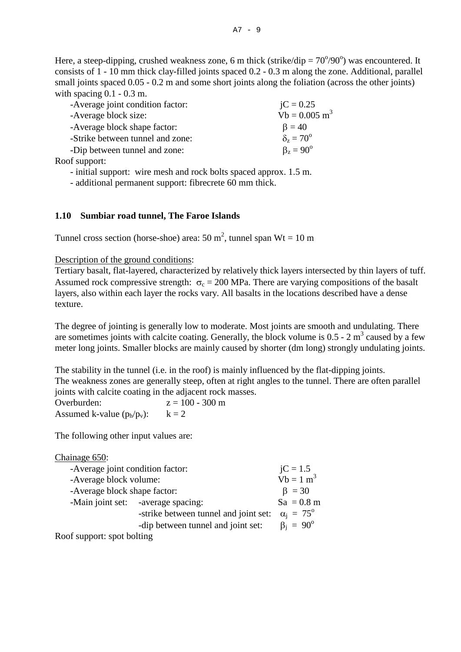Here, a steep-dipping, crushed weakness zone, 6 m thick (strike/dip =  $70^{\circ}/90^{\circ}$ ) was encountered. It consists of 1 - 10 mm thick clay-filled joints spaced 0.2 - 0.3 m along the zone. Additional, parallel small joints spaced 0.05 - 0.2 m and some short joints along the foliation (across the other joints) with spacing  $0.1 - 0.3$  m.

| -Average joint condition factor: | $iC = 0.25$                 |
|----------------------------------|-----------------------------|
| -Average block size:             | $Vb = 0.005$ m <sup>3</sup> |
| -Average block shape factor:     | $\beta = 40$                |
| -Strike between tunnel and zone: | $\delta_z = 70^\circ$       |
| -Dip between tunnel and zone:    | $\beta_z = 90^\circ$        |
|                                  |                             |

Roof support:

- initial support: wire mesh and rock bolts spaced approx. 1.5 m.

- additional permanent support: fibrecrete 60 mm thick.

#### **1.10 Sumbiar road tunnel, The Faroe Islands**

Tunnel cross section (horse-shoe) area:  $50 \text{ m}^2$ , tunnel span Wt =  $10 \text{ m}$ 

Description of the ground conditions:

Tertiary basalt, flat-layered, characterized by relatively thick layers intersected by thin layers of tuff. Assumed rock compressive strength:  $\sigma_c = 200 \text{ MPa}$ . There are varying compositions of the basalt layers, also within each layer the rocks vary. All basalts in the locations described have a dense texture.

The degree of jointing is generally low to moderate. Most joints are smooth and undulating. There are sometimes joints with calcite coating. Generally, the block volume is  $0.5 - 2 \text{ m}^3$  caused by a few meter long joints. Smaller blocks are mainly caused by shorter (dm long) strongly undulating joints.

The stability in the tunnel (i.e. in the roof) is mainly influenced by the flat-dipping joints. The weakness zones are generally steep, often at right angles to the tunnel. There are often parallel joints with calcite coating in the adjacent rock masses.

| Overburden:                   | $z = 100 - 300$ m |
|-------------------------------|-------------------|
| Assumed k-value $(p_h/p_v)$ : | $k = 2$           |

The following other input values are:

| Chainage 650:                    |                                       |                       |
|----------------------------------|---------------------------------------|-----------------------|
| -Average joint condition factor: | $jC = 1.5$                            |                       |
| -Average block volume:           | $\text{Vb} = 1 \text{ m}^3$           |                       |
| -Average block shape factor:     |                                       | $\beta = 30$          |
|                                  | -Main joint set: -average spacing:    | $Sa = 0.8 m$          |
|                                  | -strike between tunnel and joint set: | $\alpha_i = 75^\circ$ |
|                                  | $\beta_i = 90^\circ$                  |                       |
| Roof support: spot bolting       |                                       |                       |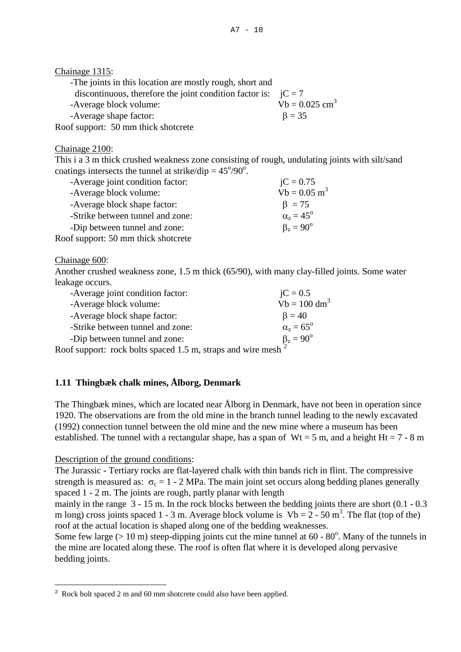Chainage 1315: -The joints in this location are mostly rough, short and discontinuous, therefore the joint condition factor is:  $iC = 7$ -Average block volume:  $Vb = 0.025$  cm<sup>3</sup>  $-A$ verage shape factor:  $\beta = 35$ Roof support: 50 mm thick shotcrete

Chainage 2100:

This i a 3 m thick crushed weakness zone consisting of rough, undulating joints with silt/sand coatings intersects the tunnel at strike/dip =  $45^{\circ}/90^{\circ}$ .

| -Average joint condition factor:    |                                         |
|-------------------------------------|-----------------------------------------|
| -Average block volume:              | $jC = 0.75$<br>Vb = 0.05 m <sup>3</sup> |
| -Average block shape factor:        | $\beta = 75$                            |
| -Strike between tunnel and zone:    | $\alpha_z = 45^\circ$                   |
| -Dip between tunnel and zone:       | $\beta_{7} = 90^{\circ}$                |
| Roof support: 50 mm thick shotcrete |                                         |

Chainage 600:

Another crushed weakness zone, 1.5 m thick (65/90), with many clay-filled joints. Some water leakage occurs.

| -Average joint condition factor:                                                          | $iC = 0.5$                 |
|-------------------------------------------------------------------------------------------|----------------------------|
| -Average block volume:                                                                    | $Vb = 100$ dm <sup>3</sup> |
| -Average block shape factor:                                                              | $\beta = 40$               |
| -Strike between tunnel and zone:                                                          | $\alpha_z = 65^\circ$      |
| -Dip between tunnel and zone:                                                             | $\beta_{z} = 90^{\circ}$   |
| of approximately the leader approved 1.5 are interesting and volume appeals $\frac{2}{3}$ |                            |

Roof support: rock bolts spaced 1.5 m, straps and wire mesh [2](#page-9-0)

# **1.11 Thingbæk chalk mines, Ålborg, Denmark**

The Thingbæk mines, which are located near Ålborg in Denmark, have not been in operation since 1920. The observations are from the old mine in the branch tunnel leading to the newly excavated (1992) connection tunnel between the old mine and the new mine where a museum has been established. The tunnel with a rectangular shape, has a span of  $Wt = 5$  m, and a height Ht = 7 - 8 m

## Description of the ground conditions:

The Jurassic - Tertiary rocks are flat-layered chalk with thin bands rich in flint. The compressive strength is measured as:  $\sigma_c = 1 - 2$  MPa. The main joint set occurs along bedding planes generally spaced 1 - 2 m. The joints are rough, partly planar with length

mainly in the range  $3 - 15$  m. In the rock blocks between the bedding joints there are short (0.1 - 0.3) m long) cross joints spaced 1 - 3 m. Average block volume is  $Vb = 2 - 50$  m<sup>3</sup>. The flat (top of the) roof at the actual location is shaped along one of the bedding weaknesses.

Some few large  $(> 10 \text{ m})$  steep-dipping joints cut the mine tunnel at 60 - 80<sup>o</sup>. Many of the tunnels in the mine are located along these. The roof is often flat where it is developed along pervasive bedding joints.

<span id="page-9-0"></span><sup>&</sup>lt;sup>2</sup> Rock bolt spaced 2 m and 60 mm shotcrete could also have been applied.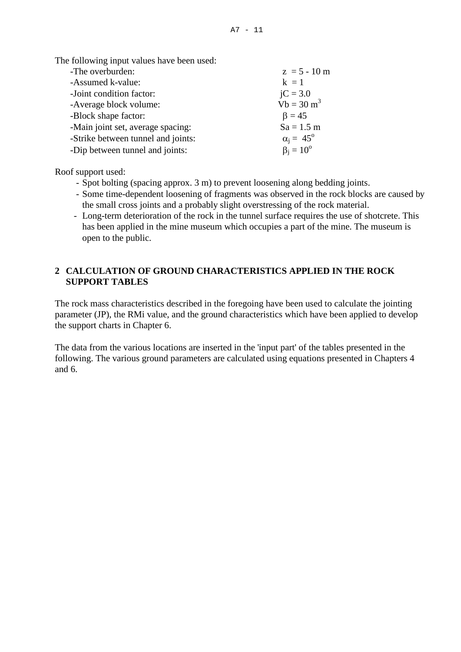The following input values have been used:

| -The overburden:                   | $z = 5 - 10$ m           |
|------------------------------------|--------------------------|
| -Assumed k-value:                  | $k = 1$                  |
| -Joint condition factor:           | $iC = 3.0$               |
| -Average block volume:             | $Vb = 30$ m <sup>3</sup> |
| -Block shape factor:               | $\beta = 45$             |
| -Main joint set, average spacing:  | $Sa = 1.5$ m             |
| -Strike between tunnel and joints: | $\alpha_i = 45^\circ$    |
| -Dip between tunnel and joints:    | $\beta_i = 10^{\circ}$   |

Roof support used:

- Spot bolting (spacing approx. 3 m) to prevent loosening along bedding joints.
- Some time-dependent loosening of fragments was observed in the rock blocks are caused by the small cross joints and a probably slight overstressing of the rock material.
- Long-term deterioration of the rock in the tunnel surface requires the use of shotcrete. This has been applied in the mine museum which occupies a part of the mine. The museum is open to the public.

# **2 CALCULATION OF GROUND CHARACTERISTICS APPLIED IN THE ROCK SUPPORT TABLES**

The rock mass characteristics described in the foregoing have been used to calculate the jointing parameter (JP), the RMi value, and the ground characteristics which have been applied to develop the support charts in Chapter 6.

The data from the various locations are inserted in the 'input part' of the tables presented in the following. The various ground parameters are calculated using equations presented in Chapters 4 and 6.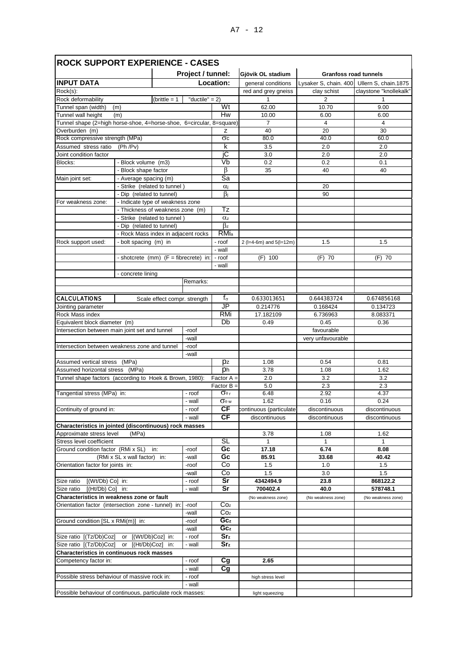| <b>ROCK SUPPORT EXPERIENCE - CASES</b>                               |                                                  |                              |                   |                          |                          |                              |                        |
|----------------------------------------------------------------------|--------------------------------------------------|------------------------------|-------------------|--------------------------|--------------------------|------------------------------|------------------------|
|                                                                      |                                                  |                              | Project / tunnel: |                          | Gjövik OL stadium        | <b>Granfoss road tunnels</b> |                        |
| <b>INPUT DATA</b>                                                    |                                                  |                              | <b>Location:</b>  | general conditions       | Lysaker S, chain. 400    | Ullern S, chain.1875         |                        |
| Rock(s):                                                             |                                                  |                              |                   |                          | red and grey gneiss      | clay schist                  | claystone "knollekalk' |
| Rock deformability                                                   |                                                  | (brittle $= 1$               | "ductile" = $2$ ) |                          | 1                        | 2                            | 1                      |
| Tunnel span (width)<br>(m)                                           |                                                  |                              |                   | Wt                       | 62.00                    | 10.70                        | 9.00                   |
| Tunnel wall height<br>(m)                                            |                                                  |                              |                   | Hw                       | 10.00                    | 6.00                         | 6.00                   |
| Tunnel shape (2=high horse-shoe, 4=horse-shoe, 6=circular, 8=square) |                                                  |                              |                   |                          | $\overline{7}$           | 4                            | $\overline{4}$         |
| Overburden (m)                                                       |                                                  |                              |                   | z                        | 40                       | 20                           | 30                     |
| Rock compressive strength (MPa)                                      |                                                  |                              |                   | $\sigma c$               | 80.0                     | 40.0                         | 60.0                   |
| Assumed stress ratio                                                 | (Ph / Pv)                                        |                              |                   | k                        | 3.5                      | 2.0                          | 2.0                    |
| Joint condition factor                                               |                                                  |                              |                   | jС                       | 3.0                      | 2.0                          | 2.0                    |
| Blocks:                                                              | - Block volume (m3)                              |                              |                   | Vb                       | 0.2                      | 0.2                          | 0.1                    |
|                                                                      | - Block shape factor                             |                              |                   | $\overline{\beta}$       | 35                       | 40                           | 40                     |
| Main joint set:                                                      | - Average spacing (m)                            |                              |                   | Sa                       |                          |                              |                        |
|                                                                      | - Strike (related to tunnel)                     |                              |                   | $\alpha$ j               |                          | 20                           |                        |
|                                                                      | - Dip (related to tunnel)                        |                              |                   | $\beta_i$                |                          | 90                           |                        |
| For weakness zone:                                                   | - Indicate type of weakness zone                 |                              |                   |                          |                          |                              |                        |
|                                                                      | - Thickness of weakness zone (m)                 |                              |                   | Tz                       |                          |                              |                        |
|                                                                      | - Strike (related to tunnel)                     |                              |                   | $\alpha$ z               |                          |                              |                        |
|                                                                      | - Dip (related to tunnel)                        |                              |                   | $\beta$ z<br><b>RMia</b> |                          |                              |                        |
|                                                                      | - Rock Mass index in adjacent rocks              |                              |                   |                          |                          |                              |                        |
| Rock support used:                                                   | - bolt spacing (m) in                            |                              |                   | - roof                   | 2 (I=4-6m) and 5(I=12m)  | 1.5                          | 1.5                    |
|                                                                      |                                                  |                              |                   | - wall                   |                          |                              |                        |
|                                                                      | - shotcrete $(mm)$ $(F = \text{fibercrete})$ in: |                              |                   | - roof                   | $(F)$ 100                | $(F)$ 70                     | $(F)$ 70               |
|                                                                      |                                                  |                              |                   | - wall                   |                          |                              |                        |
| - concrete lining                                                    |                                                  |                              | Remarks:          |                          |                          |                              |                        |
|                                                                      |                                                  |                              |                   |                          |                          |                              |                        |
| <b>CALCULATIONS</b>                                                  |                                                  |                              |                   | $f_{\sigma}$             |                          |                              |                        |
|                                                                      |                                                  | Scale effect compr. strength |                   | J <sub>P</sub>           | 0.633013651              | 0.644383724                  | 0.674856168            |
| Jointing parameter                                                   |                                                  |                              |                   | <b>RMi</b>               | 0.214776                 | 0.168424                     | 0.134723               |
| Rock Mass index                                                      |                                                  |                              |                   | Db                       | 17.182109                | 6.736963<br>0.45             | 8.083371               |
| Equivalent block diameter (m)                                        |                                                  |                              |                   |                          | 0.49                     | favourable                   | 0.36                   |
| Intersection between main joint set and tunnel                       |                                                  |                              | -roof<br>-wall    |                          |                          | very unfavourable            |                        |
| Intersection between weakness zone and tunnel                        |                                                  |                              | -roof             |                          |                          |                              |                        |
|                                                                      |                                                  |                              | -wall             |                          |                          |                              |                        |
| Assumed vertical stress (MPa)                                        |                                                  |                              |                   | pz                       | 1.08                     | 0.54                         | 0.81                   |
| Assumed horizontal stress (MPa)                                      |                                                  |                              |                   | Dh                       | 3.78                     | 1.08                         | 1.62                   |
| Tunnel shape factors (according to Hoek & Brown, 1980):              |                                                  |                              |                   | Factor A =               | 2.0                      | 3.2                          | 3.2                    |
|                                                                      |                                                  |                              |                   | $Factor B =$             | 5.0                      | 2.3                          | 2.3                    |
| Tangential stress (MPa) in:                                          |                                                  |                              | - roof            | $\sigma_{\theta r}$      | 6.48                     | 2.92                         | 4.37                   |
|                                                                      |                                                  |                              | - wall            | $\sigma_{\theta w}$      | 1.62                     | 0.16                         | 0.24                   |
| Continuity of ground in:                                             |                                                  |                              | - roof            | СF                       | continuous (particulate) | discontinuous                | discontinuous          |
|                                                                      |                                                  |                              | - wall            | СF                       | discontinuous            | discontinuous                | discontinuous          |
| Characteristics in jointed (discontinuous) rock masses               |                                                  |                              |                   |                          |                          |                              |                        |
| Approximate stress level                                             | (MPa)                                            |                              |                   |                          | 3.78                     | 1.08                         | 1.62                   |
| Stress level coefficient                                             |                                                  |                              |                   | SL                       | $\mathbf{1}$             | $\mathbf{1}$                 | 1                      |
| Ground condition factor (RMi x SL)                                   |                                                  | in:                          | -roof             | Gc                       | 17.18                    | 6.74                         | 8.08                   |
|                                                                      | (RMi x SL x wall factor) in:                     |                              | -wall             | Gc                       | 85.91                    | 33.68                        | 40.42                  |
| Orientation factor for joints in:                                    |                                                  |                              | -roof             | Co                       | 1.5                      | 1.0                          | 1.5                    |
|                                                                      |                                                  |                              | -wall             | Co                       | 1.5                      | 3.0                          | 1.5                    |
| $[(Wt/Db) Co]$ in:<br>Size ratio                                     |                                                  |                              | - roof            | Sr                       | 4342494.9                | 23.8                         | 868122.2               |
| Size ratio<br>$[(Ht/Db) Col$ in:                                     |                                                  |                              | - wall            | Sr                       | 700402.4                 | 40.0                         | 578748.1               |
| Characteristics in weakness zone or fault                            |                                                  |                              |                   |                          | (No weakness zone)       | (No weakness zone)           | (No weakness zone)     |
| Orientation factor (intersection zone - tunnel) in:                  |                                                  |                              | -roof             | Coz                      |                          |                              |                        |
|                                                                      |                                                  |                              | -wall             | Co <sub>z</sub>          |                          |                              |                        |
| Ground condition [SL x RMi(m)] in:                                   |                                                  |                              | -roof             | Gcz                      |                          |                              |                        |
|                                                                      |                                                  |                              | -wall             | $\overline{Gc_z}$        |                          |                              |                        |
| Size ratio [(Tz/Db)Coz]                                              | or [(Wt/Db)Coz] in:                              |                              | - roof            | Srz                      |                          |                              |                        |
| Size ratio [(Tz/Db)Coz]                                              | [(Ht/Db)Coz]<br>or                               | in:                          | - wall            | Srz                      |                          |                              |                        |
| <b>Characteristics in continuous rock masses</b>                     |                                                  |                              |                   |                          |                          |                              |                        |
| Competency factor in:                                                |                                                  |                              | - roof            | Сg                       | 2.65                     |                              |                        |
|                                                                      |                                                  |                              | - wall            | Сg                       |                          |                              |                        |
| Possible stress behaviour of massive rock in:                        |                                                  |                              | - roof            |                          | high stress level        |                              |                        |

- wall

Possible behaviour of continuous, particulate rock masses: light squeezing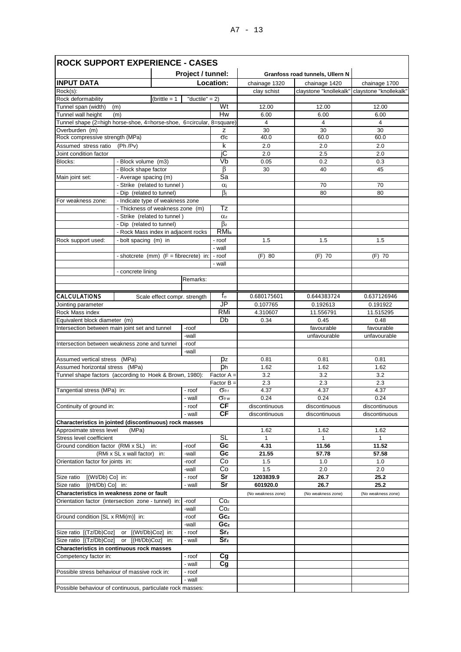| <b>ROCK SUPPORT EXPERIENCE - CASES</b>                               |                                                  |                              |                         |                                 |                    |                                 |                        |
|----------------------------------------------------------------------|--------------------------------------------------|------------------------------|-------------------------|---------------------------------|--------------------|---------------------------------|------------------------|
|                                                                      |                                                  |                              | Project / tunnel:       |                                 |                    | Granfoss road tunnels, Ullern N |                        |
| <b>INPUT DATA</b>                                                    |                                                  |                              |                         | Location:                       | chainage 1320      | chainage 1420                   | chainage 1700          |
| Rock(s):                                                             |                                                  |                              |                         |                                 | clay schist        | claystone "knollekalk"          | claystone "knollekalk" |
| "ductile" = $2$ )<br>Rock deformability<br>(brittle $= 1$            |                                                  |                              |                         |                                 |                    |                                 |                        |
| Tunnel span (width)<br>(m)                                           |                                                  |                              |                         | Wt                              | 12.00              | 12.00                           | 12.00                  |
| Tunnel wall height                                                   | (m)                                              |                              |                         | Hw                              | 6.00               | 6.00                            | 6.00                   |
| Tunnel shape (2=high horse-shoe, 4=horse-shoe, 6=circular, 8=square) |                                                  |                              | $\overline{\mathbf{4}}$ | $\overline{4}$                  | 4                  |                                 |                        |
| Overburden (m)                                                       |                                                  |                              |                         | z                               | 30                 | 30                              | 30                     |
| Rock compressive strength (MPa)                                      | (Ph / Pv)                                        |                              |                         | $\sigma c$<br>k                 | 40.0               | 60.0                            | 60.0                   |
| Assumed stress ratio<br>Joint condition factor                       |                                                  |                              |                         | іC                              | 2.0<br>2.0         | 2.0<br>2.5                      | 2.0<br>2.0             |
| Blocks:                                                              | - Block volume (m3)                              |                              |                         | Vb                              | 0.05               | 0.2                             | 0.3                    |
|                                                                      | - Block shape factor                             |                              |                         | β                               | 30                 | 40                              | 45                     |
| Main joint set:                                                      | - Average spacing (m)                            |                              |                         | Sa                              |                    |                                 |                        |
|                                                                      | - Strike (related to tunnel)                     |                              |                         | $\alpha$ j                      |                    | 70                              | 70                     |
|                                                                      | - Dip (related to tunnel)                        |                              |                         | $\beta$ j                       |                    | 80                              | 80                     |
| For weakness zone:                                                   | - Indicate type of weakness zone                 |                              |                         |                                 |                    |                                 |                        |
|                                                                      | - Thickness of weakness zone (m)                 |                              |                         | Tz                              |                    |                                 |                        |
|                                                                      | - Strike (related to tunnel)                     |                              |                         | $\alpha$ z                      |                    |                                 |                        |
|                                                                      | - Dip (related to tunnel)                        |                              |                         | $\overline{\beta z}$            |                    |                                 |                        |
|                                                                      | - Rock Mass index in adjacent rocks              |                              |                         | <b>RMia</b>                     |                    |                                 |                        |
| Rock support used:                                                   | - bolt spacing (m) in                            |                              |                         | - roof                          | 1.5                | 1.5                             | 1.5                    |
|                                                                      |                                                  |                              |                         | - wall                          |                    |                                 |                        |
|                                                                      | - shotcrete $(mm)$ $(F = \text{fibercrete})$ in: |                              |                         | - roof<br>- wall                | $(F)$ 80           | $(F)$ 70                        | $(F)$ 70               |
|                                                                      | - concrete lining                                |                              |                         |                                 |                    |                                 |                        |
|                                                                      |                                                  |                              | Remarks:                |                                 |                    |                                 |                        |
|                                                                      |                                                  |                              |                         |                                 |                    |                                 |                        |
| <b>CALCULATIONS</b>                                                  |                                                  | Scale effect compr. strength |                         | $f_{\sigma}$                    | 0.680175601        | 0.644383724                     | 0.637126946            |
| Jointing parameter                                                   |                                                  |                              |                         | JP                              | 0.107765           | 0.192613                        | 0.191922               |
| Rock Mass index                                                      |                                                  |                              |                         | <b>RMi</b>                      | 4.310607           | 11.556791                       | 11.515295              |
| Equivalent block diameter (m)                                        |                                                  |                              |                         | Db                              | 0.34               | 0.45                            | 0.48                   |
| Intersection between main joint set and tunnel                       |                                                  |                              | -roof                   |                                 |                    | favourable                      | favourable             |
|                                                                      |                                                  |                              | -wall                   |                                 |                    | unfavourable                    | unfavourable           |
| Intersection between weakness zone and tunnel                        |                                                  |                              | -roof                   |                                 |                    |                                 |                        |
|                                                                      |                                                  |                              | -wall                   |                                 |                    |                                 |                        |
| Assumed vertical stress                                              | (MPa)                                            |                              |                         | pz                              | 0.81               | 0.81                            | 0.81                   |
| Assumed horizontal stress (MPa)                                      |                                                  |                              |                         | ph                              | 1.62               | 1.62                            | 1.62                   |
| Tunnel shape factors (according to Hoek & Brown, 1980):              |                                                  |                              |                         | Factor A =                      | 3.2<br>2.3         | 3.2<br>2.3                      | 3.2<br>2.3             |
| Tangential stress (MPa) in:                                          |                                                  |                              | - roof                  | Factor B<br>$\sigma_{\theta}$ r | 4.37               | 4.37                            | 4.37                   |
|                                                                      |                                                  |                              | - wall                  | $\sigma_{\theta w}$             | 0.24               | 0.24                            | 0.24                   |
| Continuity of ground in:                                             |                                                  |                              | - roof                  | СF                              | discontinuous      | discontinuous                   | discontinuous          |
|                                                                      |                                                  |                              | - wall                  | CF                              | discontinuous      | discontinuous                   | discontinuous          |
| Characteristics in jointed (discontinuous) rock masses               |                                                  |                              |                         |                                 |                    |                                 |                        |
| Approximate stress level                                             | (MPa)                                            |                              |                         |                                 | 1.62               | 1.62                            | 1.62                   |
| Stress level coefficient                                             |                                                  |                              |                         | <b>SL</b>                       | 1                  | 1                               | 1                      |
| Ground condition factor (RMi x SL)                                   |                                                  | in:                          | -roof                   | Gc                              | 4.31               | 11.56                           | 11.52                  |
|                                                                      | (RMi x SL x wall factor) in:                     |                              | -wall                   | Gc                              | 21.55              | 57.78                           | 57.58                  |
| Orientation factor for joints in:                                    |                                                  |                              | -roof                   | Co                              | 1.5                | 1.0                             | 1.0                    |
|                                                                      |                                                  |                              | -wall                   | Co                              | 1.5                | 2.0                             | 2.0                    |
| Size ratio<br>$[(Wt/Db)$ Co] in:                                     |                                                  |                              | - roof                  | Sr                              | 1203839.9          | 26.7                            | 25.2                   |
| $[(Ht/Db) Co]$ in:<br>Size ratio                                     |                                                  |                              | - wall                  | Sr                              | 601920.0           | 26.7                            | 25.2                   |
| Characteristics in weakness zone or fault                            |                                                  |                              |                         | Co <sub>z</sub>                 | (No weakness zone) | (No weakness zone)              | (No weakness zone)     |
| Orientation factor (intersection zone - tunnel) in:                  |                                                  |                              | -roof                   | Co <sub>z</sub>                 |                    |                                 |                        |
| Ground condition [SL x RMi(m)] in:                                   |                                                  |                              | -wall<br>-roof          | Gc <sub>z</sub>                 |                    |                                 |                        |
|                                                                      |                                                  |                              | -wall                   | Gcz                             |                    |                                 |                        |
| Size ratio [(Tz/Db)Coz]                                              | or [(Wt/Db)Coz] in:                              |                              | - roof                  | Sr <sub>z</sub>                 |                    |                                 |                        |
| Size ratio [(Tz/Db)Coz]                                              | or [(Ht/Db)Coz] in:                              |                              | - wall                  | Srz                             |                    |                                 |                        |
| Characteristics in continuous rock masses                            |                                                  |                              |                         |                                 |                    |                                 |                        |
| Competency factor in:                                                |                                                  |                              | - roof                  | Cg                              |                    |                                 |                        |
|                                                                      |                                                  |                              | - wall                  | Cq                              |                    |                                 |                        |
| Possible stress behaviour of massive rock in:                        |                                                  |                              | - roof                  |                                 |                    |                                 |                        |
|                                                                      |                                                  |                              | - wall                  |                                 |                    |                                 |                        |
| Possible behaviour of continuous, particulate rock masses:           |                                                  |                              |                         |                                 |                    |                                 |                        |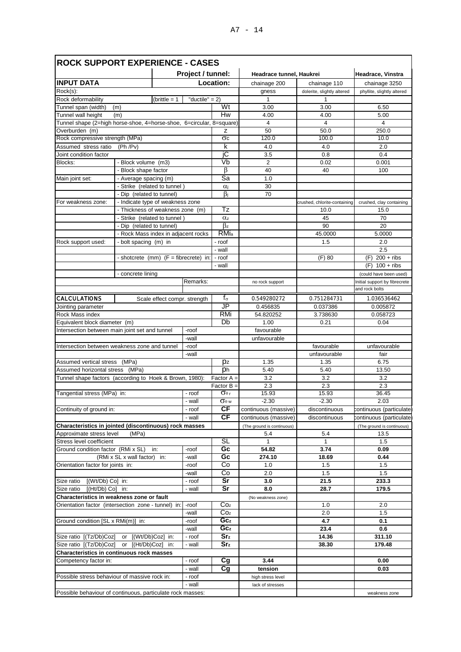| <b>ROCK SUPPORT EXPERIENCE - CASES</b>                               |                                                       |                              |                                    |                          |                            |                              |                               |
|----------------------------------------------------------------------|-------------------------------------------------------|------------------------------|------------------------------------|--------------------------|----------------------------|------------------------------|-------------------------------|
|                                                                      |                                                       |                              | Project / tunnel:                  |                          | Headrace tunnel, Haukrei   |                              | Headrace, Vinstra             |
| <b>INPUT DATA</b>                                                    |                                                       |                              | Location:                          | chainage 200             | chainage 110               | chainage 3250                |                               |
| Rock(s):                                                             |                                                       |                              |                                    | gness                    | dolerite, slightly altered | phyllite, slightly altered   |                               |
| Rock deformability<br>"ductile" = $2$ )<br>(brittle $= 1$            |                                                       |                              |                                    | 1                        | 1                          |                              |                               |
| Tunnel span (width)<br>(m)                                           |                                                       |                              | Wt                                 | 3.00                     | 3.00                       | 6.50                         |                               |
| Tunnel wall height                                                   | (m)                                                   |                              |                                    | Hw                       | 4.00                       | 4.00                         | 5.00                          |
| Tunnel shape (2=high horse-shoe, 4=horse-shoe, 6=circular, 8=square) |                                                       |                              |                                    |                          | $\overline{4}$             | $\overline{4}$               | $\overline{4}$                |
| Overburden (m)                                                       |                                                       |                              |                                    | z                        | 50                         | 50.0                         | 250.0                         |
| Rock compressive strength (MPa)                                      |                                                       |                              |                                    | $\sigma$ c               | 120.0                      | 100.0                        | 10.0                          |
| Assumed stress ratio                                                 | (Ph / Pv)                                             |                              |                                    | k                        | 4.0                        | 4.0                          | 2.0                           |
| Joint condition factor                                               |                                                       |                              |                                    | іC                       | 3.5                        | 0.8                          | 0.4                           |
| Blocks:                                                              | - Block volume (m3)                                   |                              |                                    | Vb<br>$\overline{\beta}$ | 2<br>40                    | 0.02                         | 0.001                         |
|                                                                      | - Block shape factor                                  |                              |                                    | $\overline{\mathsf{Sa}}$ | 1.0                        | 40                           | 100                           |
| Main joint set:                                                      | - Average spacing (m)<br>- Strike (related to tunnel) |                              |                                    |                          | 30                         |                              |                               |
|                                                                      | - Dip (related to tunnel)                             |                              |                                    | $\alpha$<br>βi           | 70                         |                              |                               |
| For weakness zone:                                                   | - Indicate type of weakness zone                      |                              |                                    |                          |                            | crushed, chlorite-containing | crushed, clay containing      |
|                                                                      | - Thickness of weakness zone (m)                      |                              |                                    | Tz                       |                            | 10.0                         | 15.0                          |
|                                                                      | - Strike (related to tunnel)                          |                              |                                    | $\alpha$ z               |                            | 45                           | 70                            |
|                                                                      | - Dip (related to tunnel)                             |                              |                                    | $\beta$ z                |                            | 90                           | 20                            |
|                                                                      | - Rock Mass index in adjacent rocks                   |                              |                                    | <b>RMia</b>              |                            | 45.0000                      | 5.0000                        |
| Rock support used:                                                   | - bolt spacing (m) in                                 |                              |                                    | - roof                   |                            | 1.5                          | 2.0                           |
|                                                                      |                                                       |                              |                                    | - wall                   |                            |                              | 2.5                           |
|                                                                      | - shotcrete $(mm)$ $(F = \text{fibercrete})$ in:      |                              |                                    | - roof                   |                            | (F) 80                       | $(F)$ 200 + ribs              |
|                                                                      |                                                       |                              |                                    | - wall                   |                            |                              | $(F) 100 + ribs$              |
|                                                                      | - concrete lining                                     |                              |                                    |                          |                            |                              | (could have been used)        |
|                                                                      |                                                       |                              | Remarks:                           |                          | no rock support            |                              | Initial support by fibrecrete |
|                                                                      |                                                       |                              |                                    |                          |                            |                              | and rock bolts                |
| <b>CALCULATIONS</b>                                                  |                                                       | Scale effect compr. strength |                                    | $f_{\sigma}$             | 0.549280272                | 0.751284731                  | 1.036536462                   |
| Jointing parameter                                                   |                                                       |                              | $\overline{\mathsf{J} \mathsf{P}}$ | 0.456835                 | 0.037386                   | 0.005872                     |                               |
| Rock Mass index                                                      |                                                       |                              |                                    | <b>RMi</b>               | 54.820252                  | 3.738630                     | 0.058723                      |
| Equivalent block diameter (m)                                        |                                                       |                              |                                    | Db                       | 1.00                       | 0.21                         | 0.04                          |
| Intersection between main joint set and tunnel                       |                                                       |                              | -roof                              |                          | favourable                 |                              |                               |
|                                                                      |                                                       |                              | -wall                              |                          | unfavourable               |                              |                               |
| Intersection between weakness zone and tunnel                        |                                                       |                              | -roof                              |                          |                            | favourable                   | unfavourable                  |
|                                                                      |                                                       |                              | -wall                              |                          |                            | unfavourable                 | fair                          |
| Assumed vertical stress (MPa)                                        |                                                       |                              |                                    | pz                       | 1.35                       | 1.35                         | 6.75                          |
| Assumed horizontal stress (MPa)                                      |                                                       |                              |                                    | Dh                       | 5.40                       | 5.40                         | 13.50                         |
| Tunnel shape factors (according to Hoek & Brown, 1980):              |                                                       |                              |                                    | Factor A =               | 3.2                        | 3.2                          | 3.2                           |
|                                                                      |                                                       |                              |                                    | Factor $B =$             | 2.3                        | 2.3                          | 2.3                           |
| Tangential stress (MPa) in:                                          |                                                       |                              | - roof                             | $\sigma_{\theta r}$      | 15.93                      | 15.93                        | 36.45                         |
|                                                                      |                                                       |                              | - wall                             | $\sigma_{\theta w}$      | $-2.30$                    | $-2.30$                      | 2.03                          |
| Continuity of ground in:                                             |                                                       |                              | - roof                             | <b>CF</b>                | continuous (massive)       | discontinuous                | continuous (particulate       |
|                                                                      |                                                       |                              | - wall                             | СF                       | continuous (massive)       | discontinuous                | continuous (particulate       |
| Characteristics in jointed (discontinuous) rock masses               |                                                       |                              |                                    |                          | (The ground is continuous) |                              | (The ground is continuous)    |
| Approximate stress level                                             | (MPa)                                                 |                              |                                    |                          | 5.4                        | 5.4                          | 13.5                          |
| Stress level coefficient<br>Ground condition factor (RMi x SL)       |                                                       | in:                          |                                    | <b>SL</b><br>Gc          | $\mathbf{1}$<br>54.82      | 1<br>3.74                    | 1.5<br>0.09                   |
|                                                                      |                                                       |                              | -roof                              | Gc                       |                            | 18.69                        | 0.44                          |
| Orientation factor for joints in:                                    | (RMi x SL x wall factor) in:                          |                              | -wall<br>-roof                     | Co                       | 274.10<br>1.0              | 1.5                          | 1.5                           |
|                                                                      |                                                       |                              | -wall                              | Co                       | 2.0                        | 1.5                          | 1.5                           |
| $[(Wt/Db) Co]$ in:<br>Size ratio                                     |                                                       |                              | - roof                             | Sr                       | 3.0                        | 21.5                         | 233.3                         |
| Size ratio<br>$[(Ht/Db) Co]$ in:                                     |                                                       |                              | - wall                             | Sr                       | 8.0                        | 28.7                         | 179.5                         |
| Characteristics in weakness zone or fault                            |                                                       |                              |                                    |                          | (No weakness zone)         |                              |                               |
|                                                                      |                                                       |                              | -roof                              | Coz                      |                            | 1.0                          | 2.0                           |
| Orientation factor (intersection zone - tunnel) in:                  |                                                       |                              | -wall                              | Co <sub>z</sub>          |                            | 2.0                          | 1.5                           |
| Ground condition [SL x RMi(m)] in:                                   |                                                       |                              | -roof                              | Gcz                      |                            | 4.7                          | 0.1                           |
|                                                                      |                                                       |                              | -wall                              | Gcz                      |                            | 23.4                         | 0.6                           |
| Size ratio [(Tz/Db)Coz]                                              | or [(Wt/Db)Coz] in:                                   |                              | - roof                             | Sr <sub>z</sub>          |                            | 14.36                        | 311.10                        |
| Size ratio [(Tz/Db)Coz]                                              | or [(Ht/Db)Coz] in:                                   |                              | - wall                             | Srz                      |                            | 38.30                        | 179.48                        |
| Characteristics in continuous rock masses                            |                                                       |                              |                                    |                          |                            |                              |                               |
| Competency factor in:                                                |                                                       |                              | - roof                             | Cg                       | 3.44                       |                              | 0.00                          |
|                                                                      |                                                       |                              | - wall                             | Cg                       | tension                    |                              | 0.03                          |
| Possible stress behaviour of massive rock in:                        |                                                       |                              | - roof                             |                          | high stress level          |                              |                               |
|                                                                      |                                                       |                              | - wall                             |                          | lack of stresses           |                              |                               |
| Possible behaviour of continuous, particulate rock masses:           |                                                       |                              |                                    |                          |                            |                              | weakness zone                 |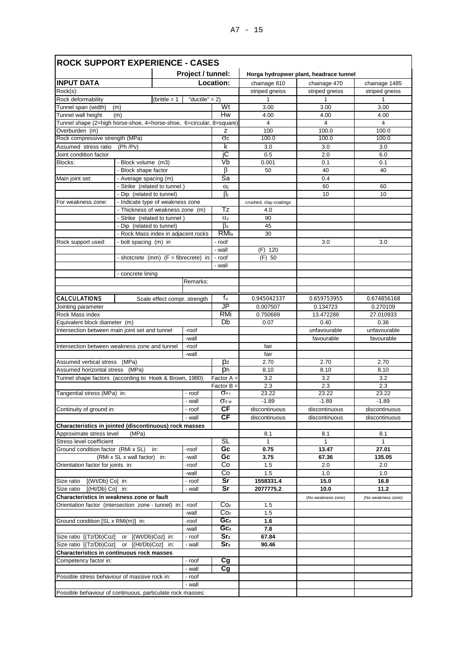|                                        | <b>ROCK SUPPORT EXPERIENCE - CASES</b>                               |                        |                                    |                               |                                        |                    |
|----------------------------------------|----------------------------------------------------------------------|------------------------|------------------------------------|-------------------------------|----------------------------------------|--------------------|
|                                        |                                                                      | Project / tunnel:      |                                    |                               | Horga hydropwer plant, headrace tunnel |                    |
| <b>INPUT DATA</b>                      |                                                                      |                        | Location:                          | chainage 810                  | chainage 470                           | chainage 1485      |
| Rock(s):                               |                                                                      |                        | striped gneiss                     | striped gneiss                | striped gneiss                         |                    |
| Rock deformability                     | (brittle $= 1$                                                       | "ductile" = $2$ )      |                                    | $\mathbf{1}$                  | 1                                      | 1                  |
| Tunnel span (width)                    | (m)                                                                  | $\overline{\text{Wt}}$ | 3.00                               | 3.00                          | 3.00                                   |                    |
| Tunnel wall height                     | (m)                                                                  |                        | Hw                                 | 4.00                          | 4.00                                   | 4.00               |
|                                        | Tunnel shape (2=high horse-shoe, 4=horse-shoe, 6=circular, 8=square) |                        |                                    | $\overline{4}$                | 4                                      | $\overline{4}$     |
| Overburden (m)                         |                                                                      |                        | z                                  | 100                           | 100.0                                  | 100.0              |
| Rock compressive strength (MPa)        |                                                                      |                        | σс                                 | 100.0                         | 100.0                                  | 100.0              |
| Assumed stress ratio                   | (Ph / Pv)                                                            |                        | k                                  | 3.0                           | 3.0                                    | 3.0                |
| Joint condition factor                 |                                                                      |                        | іC                                 | 0.5                           | 2.0                                    | 6.0                |
| Blocks:                                | - Block volume (m3)                                                  |                        | Vb                                 | 0.001                         | 0.1                                    | 0.1                |
|                                        | - Block shape factor                                                 |                        | β<br>$\overline{\mathsf{Sa}}$      | 50                            | 40<br>0.4                              | 40                 |
| Main joint set:                        | - Average spacing (m)<br>- Strike (related to tunnel)                |                        |                                    |                               | 60                                     | 60                 |
|                                        | - Dip (related to tunnel)                                            |                        | $\alpha$ <sub>j</sub><br>$\beta_i$ |                               | 10                                     | 10                 |
| For weakness zone:                     | - Indicate type of weakness zone                                     |                        |                                    |                               |                                        |                    |
|                                        | - Thickness of weakness zone (m)                                     |                        | Tz                                 | crushed, clay-coatings<br>4.0 |                                        |                    |
|                                        | - Strike (related to tunnel)                                         |                        | $\alpha$ z                         | 90                            |                                        |                    |
|                                        | - Dip (related to tunnel)                                            |                        | $\beta$ z                          | 45                            |                                        |                    |
|                                        | - Rock Mass index in adjacent rocks                                  |                        | <b>RMia</b>                        | 30                            |                                        |                    |
| Rock support used:                     | - bolt spacing (m) in                                                |                        | - roof                             |                               | 3.0                                    | 3.0                |
|                                        |                                                                      |                        | - wall                             | $(F)$ 120                     |                                        |                    |
|                                        | - shotcrete $(mm)$ $(F = \text{fibercrete})$ in:                     |                        | - roof                             | $(F)$ 50                      |                                        |                    |
|                                        |                                                                      |                        | - wall                             |                               |                                        |                    |
|                                        | - concrete lining                                                    |                        |                                    |                               |                                        |                    |
|                                        |                                                                      | Remarks:               |                                    |                               |                                        |                    |
|                                        |                                                                      |                        |                                    |                               |                                        |                    |
| <b>CALCULATIONS</b>                    | Scale effect compr. strength                                         |                        | $f_{\sigma}$                       | 0.945042337                   | 0.659753955                            | 0.674856168        |
| Jointing parameter                     |                                                                      |                        | J <sub>P</sub>                     | 0.007507                      | 0.134723                               | 0.270109           |
| Rock Mass index                        |                                                                      |                        | <b>RMi</b>                         | 0.750689                      | 13.472286                              | 27.010933          |
| Equivalent block diameter (m)          |                                                                      |                        | Db                                 | 0.07                          | 0.40                                   | 0.36               |
|                                        | Intersection between main joint set and tunnel                       | -roof                  |                                    |                               | unfavourable                           | unfavourable       |
|                                        |                                                                      | -wall                  |                                    |                               | favourable                             | favourable         |
|                                        | Intersection between weakness zone and tunnel                        | -roof                  |                                    | fair                          |                                        |                    |
|                                        |                                                                      | -wall                  |                                    | fair                          |                                        |                    |
| Assumed vertical stress (MPa)          |                                                                      |                        | pz                                 | 2.70                          | 2.70                                   | 2.70               |
| Assumed horizontal stress (MPa)        |                                                                      |                        | рh                                 | 8.10                          | 8.10                                   | 8.10               |
|                                        | Tunnel shape factors (according to Hoek & Brown, 1980):              |                        | Factor A =                         | 3.2                           | 3.2                                    | 3.2                |
|                                        |                                                                      |                        | Factor B:                          | 2.3                           | 2.3                                    | 2.3                |
| Tangential stress (MPa) in:            |                                                                      | - roof                 | $\sigma_{\theta r}$                | 23.22                         | 23.22                                  | 23.22              |
|                                        |                                                                      | wall                   | $\sigma_{\theta w}$                | $-1.89$                       | $-1.89$                                | $-1.89$            |
| Continuity of ground in:               |                                                                      | - roof                 | СF                                 | discontinuous                 | discontinuous                          | discontinuous      |
|                                        |                                                                      | - wall                 | СF                                 | discontinuous                 | discontinuous                          | discontinuous      |
| Approximate stress level               | Characteristics in jointed (discontinuous) rock masses<br>(MPa)      |                        |                                    |                               |                                        | 8.1                |
| Stress level coefficient               |                                                                      |                        | SL                                 | 8.1<br>$\mathbf{1}$           | 8.1<br>$\mathbf{1}$                    | $\mathbf{1}$       |
| Ground condition factor (RMi x SL) in: |                                                                      | -roof                  | Gc                                 | 0.75                          | 13.47                                  | 27.01              |
|                                        | (RMi x SL x wall factor) in:                                         | -wall                  | Gc                                 | 3.75                          | 67.36                                  | 135.05             |
| Orientation factor for joints in:      |                                                                      | -roof                  | Co                                 | 1.5                           | 2.0                                    | 2.0                |
|                                        |                                                                      | -wall                  | Co                                 | $1.5$                         | 1.0                                    | 1.0                |
| Size ratio [(Wt/Db) Co] in:            |                                                                      | - roof                 | Sr                                 | 1558331.4                     | 15.0                                   | 16.8               |
| Size ratio [(Ht/Db) Co] in:            |                                                                      | - wall                 | Sr                                 | 2077775.2                     | 10.0                                   | 11.2               |
|                                        | Characteristics in weakness zone or fault                            |                        |                                    |                               | (No weakness zone)                     | (No weakness zone) |
|                                        | Orientation factor (intersection zone - tunnel) in:                  | -roof                  | Co <sub>z</sub>                    | 1.5                           |                                        |                    |
|                                        |                                                                      | -wall                  | Co <sub>z</sub>                    | 1.5                           |                                        |                    |
| Ground condition [SL x RMi(m)] in:     |                                                                      | -roof                  | Gc <sub>z</sub>                    | 1.6                           |                                        |                    |
|                                        |                                                                      | -wall                  | Gcz                                | 7.8                           |                                        |                    |
| Size ratio [(Tz/Db)Coz]                | or [(Wt/Db)Coz] in:                                                  | - roof                 | Sr <sub>z</sub>                    | 67.84                         |                                        |                    |
|                                        | Size ratio [(Tz/Db)Coz] or [(Ht/Db)Coz] in:                          | - wall                 | Sr <sub>z</sub>                    | 90.46                         |                                        |                    |
|                                        | Characteristics in continuous rock masses                            |                        |                                    |                               |                                        |                    |
| Competency factor in:                  |                                                                      | - roof                 | Cg                                 |                               |                                        |                    |
|                                        |                                                                      | - wall                 | Cg                                 |                               |                                        |                    |
|                                        | Possible stress behaviour of massive rock in:                        | - roof                 |                                    |                               |                                        |                    |
|                                        |                                                                      | - wall                 |                                    |                               |                                        |                    |
|                                        | Possible behaviour of continuous, particulate rock masses:           |                        |                                    |                               |                                        |                    |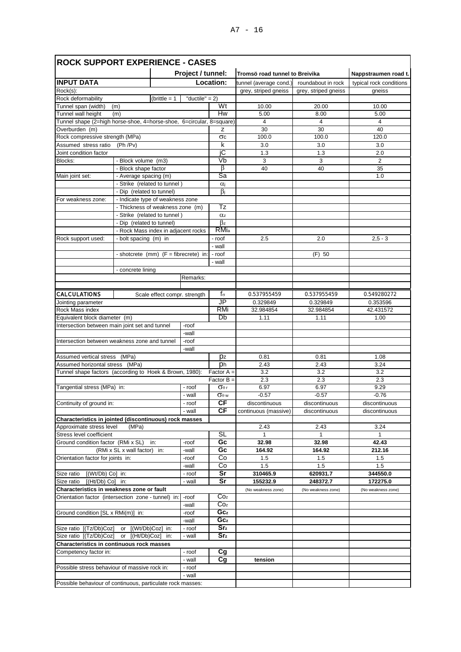| <b>ROCK SUPPORT EXPERIENCE - CASES</b>                                                     |                                                                      |                              |                   |                     |                                |                         |                         |
|--------------------------------------------------------------------------------------------|----------------------------------------------------------------------|------------------------------|-------------------|---------------------|--------------------------------|-------------------------|-------------------------|
|                                                                                            |                                                                      |                              | Project / tunnel: |                     | Tromsö road tunnel to Breivika |                         | Nappstraumen road t.    |
| <b>INPUT DATA</b>                                                                          |                                                                      |                              |                   | Location:           | tunnel (average cond.)         | roundabout in rock      | typical rock conditions |
| Rock(s):                                                                                   |                                                                      |                              |                   |                     | grey, striped gneiss           | grey, striped gneiss    | gneiss                  |
| "ductile" = $2$ )<br>Rock deformability<br>(brittle $= 1$                                  |                                                                      |                              |                   |                     |                                |                         |                         |
| Tunnel span (width)<br>(m)                                                                 |                                                                      |                              |                   | Wt                  | 10.00                          | 20.00                   | 10.00                   |
| Tunnel wall height<br>Tunnel shape (2=high horse-shoe, 4=horse-shoe, 6=circular, 8=square) | (m)                                                                  |                              |                   | Hw                  | 5.00<br>4                      | 8.00<br>4               | 5.00<br>$\overline{4}$  |
| Overburden (m)                                                                             |                                                                      |                              |                   | z                   | 30                             | 30                      | 40                      |
| Rock compressive strength (MPa)                                                            |                                                                      |                              |                   | σc                  | 100.0                          | 100.0                   | 120.0                   |
| Assumed stress ratio                                                                       | (Ph / Pv)                                                            |                              |                   | k                   | 3.0                            | 3.0                     | 3.0                     |
| Joint condition factor                                                                     |                                                                      |                              |                   | jС                  | 1.3                            | 1.3                     | 2.0                     |
| Blocks:                                                                                    | - Block volume (m3)                                                  |                              |                   | Vb                  | 3                              | 3                       | $\overline{2}$          |
|                                                                                            | - Block shape factor                                                 |                              |                   | β                   | 40                             | 40                      | 35                      |
| Main joint set:                                                                            | - Average spacing (m)                                                |                              |                   | Sa                  |                                |                         | 1.0                     |
|                                                                                            | - Strike (related to tunnel)                                         |                              |                   | αj                  |                                |                         |                         |
|                                                                                            | - Dip (related to tunnel)                                            |                              |                   | $\beta$ j           |                                |                         |                         |
| For weakness zone:                                                                         | - Indicate type of weakness zone<br>- Thickness of weakness zone (m) |                              |                   | Tz                  |                                |                         |                         |
|                                                                                            | - Strike (related to tunnel)                                         |                              |                   | $\alpha$ z          |                                |                         |                         |
|                                                                                            | - Dip (related to tunnel)                                            |                              |                   | $\beta$ z           |                                |                         |                         |
|                                                                                            | - Rock Mass index in adjacent rocks                                  |                              |                   | <b>RMia</b>         |                                |                         |                         |
| Rock support used:                                                                         | - bolt spacing (m) in                                                |                              |                   | - roof              | 2.5                            | 2.0                     | $2, 5 - 3$              |
|                                                                                            |                                                                      |                              |                   | - wall              |                                |                         |                         |
|                                                                                            | - shotcrete $(mm)$ $(F = \text{fibercrete})$ in:                     |                              |                   | - roof              |                                | (F) 50                  |                         |
|                                                                                            |                                                                      |                              |                   | - wall              |                                |                         |                         |
|                                                                                            | - concrete lining                                                    |                              |                   |                     |                                |                         |                         |
|                                                                                            |                                                                      |                              | Remarks:          |                     |                                |                         |                         |
| CALCULATIONS                                                                               |                                                                      |                              |                   | $f_{\sigma}$        |                                |                         | 0.549280272             |
| Jointing parameter                                                                         |                                                                      | Scale effect compr. strength |                   | JP                  | 0.537955459<br>0.329849        | 0.537955459<br>0.329849 | 0.353596                |
| Rock Mass index                                                                            |                                                                      |                              |                   | <b>RMi</b>          | 32.984854                      | 32.984854               | 42.431572               |
| Equivalent block diameter (m)                                                              |                                                                      |                              |                   | Db                  | 1.11                           | 1.11                    | 1.00                    |
| Intersection between main joint set and tunnel                                             |                                                                      |                              | -roof             |                     |                                |                         |                         |
|                                                                                            |                                                                      |                              | -wall             |                     |                                |                         |                         |
| Intersection between weakness zone and tunnel                                              |                                                                      |                              | -roof             |                     |                                |                         |                         |
|                                                                                            |                                                                      |                              | -wall             |                     |                                |                         |                         |
| Assumed vertical stress (MPa)                                                              |                                                                      |                              |                   | pz                  | 0.81                           | 0.81                    | 1.08                    |
| Assumed horizontal stress (MPa)<br>Tunnel shape factors (according to Hoek & Brown, 1980): |                                                                      |                              |                   | ph<br>Factor $A =$  | 2.43<br>3.2                    | 2.43<br>3.2             | 3.24<br>3.2             |
|                                                                                            |                                                                      |                              |                   | Factor $B =$        | 2.3                            | 2.3                     | 2.3                     |
| Tangential stress (MPa) in:                                                                |                                                                      |                              | - roof            | $\sigma_{0}$ r      | 6.97                           | 6.97                    | 9.29                    |
|                                                                                            |                                                                      |                              | - wall            | $\sigma_{\theta w}$ | $-0.57$                        | $-0.57$                 | $-0.76$                 |
| Continuity of ground in:                                                                   |                                                                      |                              | - roof            | СF                  | discontinuous                  | discontinuous           | discontinuous           |
|                                                                                            |                                                                      |                              | - wall            | СF                  | continuous (massive)           | discontinuous           | discontinuous           |
| Characteristics in jointed (discontinuous) rock masses                                     |                                                                      |                              |                   |                     |                                |                         |                         |
| Approximate stress level                                                                   | (MPa)                                                                |                              |                   |                     | 2.43                           | 2.43                    | 3.24                    |
| Stress level coefficient                                                                   |                                                                      |                              |                   | SL                  | 1                              | 1                       | 1                       |
| Ground condition factor (RMi x SL)                                                         | (RMi x SL x wall factor) in:                                         | in:                          | -roof             | Gc<br>Gc            | 32.98<br>164.92                | 32.98<br>164.92         | 42.43<br>212.16         |
| Orientation factor for joints in:                                                          |                                                                      |                              | -wall<br>-roof    | Co                  | 1.5                            | 1.5                     | 1.5                     |
|                                                                                            |                                                                      |                              | -wall             | Co                  | 1.5                            | 1.5                     | 1.5                     |
| Size ratio<br>$[(Wt/Db)$ Co] in:                                                           |                                                                      |                              | - roof            | Sr                  | 310465.9                       | 620931.7                | 344550.0                |
| $[(Ht/Db) Co]$ in:<br>Size ratio                                                           |                                                                      |                              | - wall            | Sr                  | 155232.9                       | 248372.7                | 172275.0                |
| Characteristics in weakness zone or fault                                                  |                                                                      |                              |                   |                     | (No weakness zone)             | (No weakness zone)      | (No weakness zone)      |
| Orientation factor (intersection zone - tunnel) in:                                        |                                                                      |                              | -roof             | Co <sub>z</sub>     |                                |                         |                         |
|                                                                                            |                                                                      |                              | -wall             | Co <sub>z</sub>     |                                |                         |                         |
| Ground condition [SL x RMi(m)] in:                                                         |                                                                      |                              | -roof             | Gc <sub>z</sub>     |                                |                         |                         |
|                                                                                            |                                                                      |                              | -wall             | Gc <sub>z</sub>     |                                |                         |                         |
| Size ratio [(Tz/Db)Coz]                                                                    | or [(Wt/Db)Coz] in:                                                  |                              | - roof            | Sr <sub>z</sub>     |                                |                         |                         |
| Size ratio [(Tz/Db)Coz]<br><b>Characteristics in continuous rock masses</b>                | or [(Ht/Db)Coz] in:                                                  |                              | - wall            | Srz                 |                                |                         |                         |
| Competency factor in:                                                                      |                                                                      |                              | - roof            | Сg                  |                                |                         |                         |
|                                                                                            |                                                                      |                              | - wall            | Cq                  | tension                        |                         |                         |
| Possible stress behaviour of massive rock in:                                              |                                                                      |                              | - roof            |                     |                                |                         |                         |
|                                                                                            |                                                                      |                              | - wall            |                     |                                |                         |                         |
| Possible behaviour of continuous, particulate rock masses:                                 |                                                                      |                              |                   |                     |                                |                         |                         |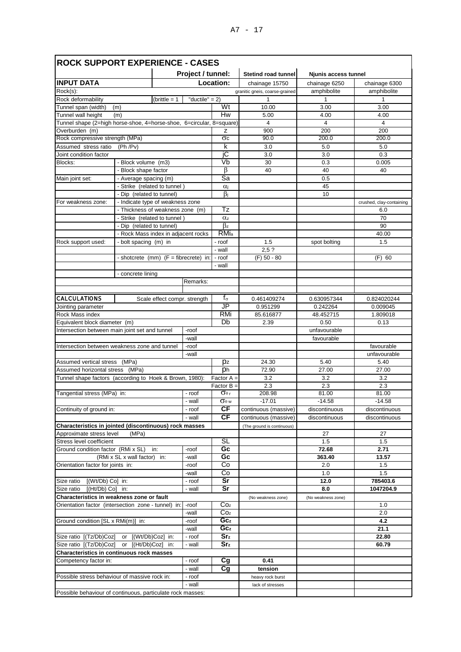| <b>ROCK SUPPORT EXPERIENCE - CASES</b>                               |                                                           |                                                  |                                |                        |                            |                      |                          |
|----------------------------------------------------------------------|-----------------------------------------------------------|--------------------------------------------------|--------------------------------|------------------------|----------------------------|----------------------|--------------------------|
|                                                                      |                                                           |                                                  | Project / tunnel:              |                        | <b>Stetind road tunnel</b> | Njunis access tunnel |                          |
| <b>INPUT DATA</b>                                                    |                                                           |                                                  | Location:                      |                        | chainage 15750             | chainage 6250        | chainage 6300            |
| Rock(s):                                                             |                                                           |                                                  | granitic gneis, coarse-grained | amphibolite            | amphibolite                |                      |                          |
| Rock deformability                                                   |                                                           | (brittle $= 1$                                   | "ductile" = $2$ )              |                        | 1                          | 1                    | 1                        |
| Tunnel span (width)<br>(m)                                           |                                                           |                                                  |                                | Wt                     | 10.00                      | 3.00                 | 3.00                     |
| Tunnel wall height<br>(m)                                            |                                                           |                                                  |                                | Hw                     | 5.00                       | 4.00                 | 4.00                     |
| Tunnel shape (2=high horse-shoe, 4=horse-shoe, 6=circular, 8=square) |                                                           |                                                  |                                |                        | 4                          | $\overline{4}$       | $\overline{4}$           |
| Overburden (m)                                                       |                                                           |                                                  |                                | z                      | 900                        | 200                  | 200                      |
| Rock compressive strength (MPa)                                      |                                                           |                                                  |                                | $\sigma c$             | 90.0                       | 200.0                | 200.0                    |
| Assumed stress ratio                                                 | (Ph / Pv)                                                 |                                                  |                                | k                      | 3.0                        | 5.0                  | 5.0                      |
| Joint condition factor                                               |                                                           |                                                  |                                | іC                     | 3.0                        | 3.0                  | 0.3                      |
| Blocks:<br>- Block volume (m3)                                       |                                                           |                                                  |                                | Vb<br>β                | 30<br>40                   | 0.3<br>40            | 0.005<br>40              |
| - Block shape factor                                                 |                                                           |                                                  |                                | Sa                     |                            | 0.5                  |                          |
| Main joint set:                                                      | - Average spacing (m)                                     |                                                  |                                | $\alpha$ j             |                            | 45                   |                          |
|                                                                      | - Strike (related to tunnel)<br>- Dip (related to tunnel) |                                                  |                                | $\beta_i$              |                            | 10                   |                          |
| For weakness zone:                                                   | - Indicate type of weakness zone                          |                                                  |                                |                        |                            |                      | crushed, clay-containing |
|                                                                      | - Thickness of weakness zone (m)                          |                                                  |                                | Tz                     |                            |                      | 6.0                      |
|                                                                      | - Strike (related to tunnel)                              |                                                  |                                | $\alpha$ z             |                            |                      | 70                       |
|                                                                      | - Dip (related to tunnel)                                 |                                                  |                                | $\beta$ z              |                            |                      | 90                       |
|                                                                      | - Rock Mass index in adjacent rocks                       |                                                  |                                | RMia                   |                            |                      | 40.00                    |
| Rock support used:                                                   | - bolt spacing (m) in                                     |                                                  |                                | - roof                 | 1.5                        | spot bolting         | 1.5                      |
|                                                                      |                                                           |                                                  |                                | - wall                 | 2,5?                       |                      |                          |
|                                                                      |                                                           | - shotcrete $(mm)$ $(F = \text{fibercrete})$ in: |                                |                        | (F) 50 - 80                |                      | $(F)$ 60                 |
|                                                                      |                                                           |                                                  |                                | - wall                 |                            |                      |                          |
|                                                                      | - concrete lining                                         |                                                  |                                |                        |                            |                      |                          |
|                                                                      |                                                           |                                                  | Remarks:                       |                        |                            |                      |                          |
|                                                                      |                                                           |                                                  |                                |                        |                            |                      |                          |
| <b>CALCULATIONS</b>                                                  | Scale effect compr. strength                              |                                                  |                                | $f_{\sigma}$           | 0.461409274                | 0.630957344          | 0.824020244              |
| Jointing parameter                                                   |                                                           |                                                  |                                | JP                     | 0.951299                   | 0.242264             | 0.009045                 |
| Rock Mass index                                                      |                                                           |                                                  |                                | <b>RMi</b>             | 85.616877                  | 48.452715            | 1.809018                 |
| Equivalent block diameter (m)                                        |                                                           |                                                  |                                | Db                     | 2.39                       | 0.50                 | 0.13                     |
| Intersection between main joint set and tunnel                       |                                                           |                                                  | -roof                          |                        |                            | unfavourable         |                          |
|                                                                      |                                                           |                                                  | -wall                          |                        |                            | favourable           |                          |
| Intersection between weakness zone and tunnel                        |                                                           |                                                  | -roof                          |                        |                            |                      | favourable               |
|                                                                      |                                                           |                                                  | -wall                          |                        |                            |                      | unfavourable             |
| Assumed vertical stress (MPa)                                        |                                                           |                                                  |                                | pz                     | 24.30                      | 5.40                 | 5.40                     |
| Assumed horizontal stress (MPa)                                      |                                                           |                                                  |                                | рh                     | 72.90                      | 27.00                | 27.00                    |
| Tunnel shape factors (according to Hoek & Brown, 1980):              |                                                           |                                                  |                                | Factor A =<br>Factor B | 3.2<br>2.3                 | 3.2<br>2.3           | 3.2<br>2.3               |
| Tangential stress (MPa) in:                                          |                                                           |                                                  | - roof                         | $\sigma_{\theta r}$    | 208.98                     | 81.00                | 81.00                    |
|                                                                      |                                                           |                                                  | - wall                         | $\sigma_{\theta w}$    | $-17.01$                   | $-14.58$             | $-14.58$                 |
| Continuity of ground in:                                             |                                                           |                                                  | - roof                         | СF                     | continuous (massive)       | discontinuous        | discontinuous            |
|                                                                      |                                                           |                                                  | - wall                         | <b>CF</b>              | continuous (massive)       | discontinuous        | discontinuous            |
| Characteristics in jointed (discontinuous) rock masses               |                                                           |                                                  |                                |                        | (The ground is continuous) |                      |                          |
| Approximate stress level                                             | (MPa)                                                     |                                                  |                                |                        |                            | 27                   | 27                       |
| Stress level coefficient                                             |                                                           |                                                  |                                | SL                     |                            | 1.5                  | 1.5                      |
| Ground condition factor (RMi x SL)                                   | in:                                                       |                                                  | -roof                          | Gc                     |                            | 72.68                | 2.71                     |
|                                                                      | (RMi x SL x wall factor) in:                              |                                                  | -wall                          | Gc                     |                            | 363.40               | 13.57                    |
| Orientation factor for joints in:                                    |                                                           |                                                  | -roof                          | Co                     |                            | 2.0                  | 1.5                      |
|                                                                      |                                                           |                                                  | -wall                          | Co                     |                            | 1.0                  | 1.5                      |
| Size ratio<br>$[(Wt/Db) Co]$ in:                                     |                                                           |                                                  | - roof                         | Sr                     |                            | 12.0                 | 785403.6                 |
| Size ratio [(Ht/Db) Co] in:                                          |                                                           |                                                  | - wall                         | Sr                     |                            | 8.0                  | 1047204.9                |
| Characteristics in weakness zone or fault                            |                                                           |                                                  |                                |                        | (No weakness zone)         | (No weakness zone)   |                          |
| Orientation factor (intersection zone - tunnel) in:                  |                                                           |                                                  | -roof                          | Coz                    |                            |                      | 1.0                      |
|                                                                      |                                                           | -wall                                            | Co <sub>z</sub>                |                        |                            | 2.0                  |                          |
| Ground condition [SL x RMi(m)] in:                                   |                                                           |                                                  | -roof                          | Gc <sub>z</sub>        |                            |                      | 4.2                      |
|                                                                      |                                                           | -wall                                            | Gc <sub>z</sub>                |                        |                            | 21.1                 |                          |
| Size ratio [(Tz/Db)Coz]<br>or [(Wt/Db)Coz] in:                       |                                                           |                                                  | - roof                         | Sr <sub>z</sub>        |                            |                      | 22.80                    |
| Size ratio [(Tz/Db)Coz]                                              | or [(Ht/Db)Coz] in:                                       |                                                  | - wall                         | Sr <sub>z</sub>        |                            |                      | 60.79                    |
| Characteristics in continuous rock masses                            |                                                           |                                                  |                                |                        |                            |                      |                          |
| Competency factor in:                                                |                                                           |                                                  | - roof<br>- wall               | Cg<br>Cg               | 0.41<br>tension            |                      |                          |
|                                                                      |                                                           |                                                  | - roof                         |                        | heavy rock burst           |                      |                          |
| Possible stress behaviour of massive rock in:                        |                                                           | - wall                                           |                                | lack of stresses       |                            |                      |                          |
| Bossible behaviour of continuous particulate rock masses;            |                                                           |                                                  |                                |                        |                            |                      |                          |

Possible behaviour of continuous, particulate rock ma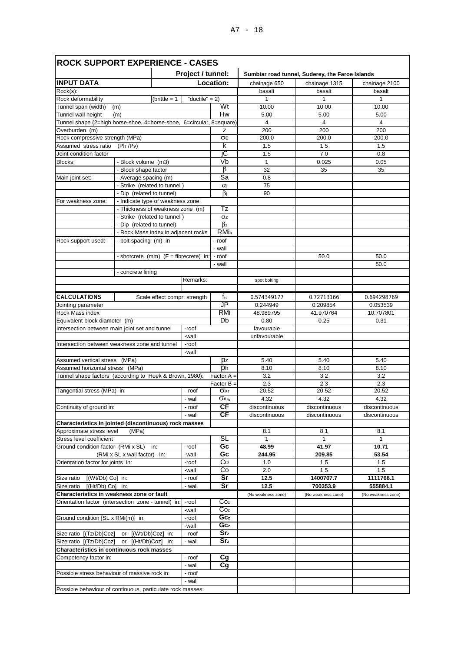| <b>ROCK SUPPORT EXPERIENCE - CASES</b>                                               |                                                       |         |                   |                                    |                     |                                                 |                    |
|--------------------------------------------------------------------------------------|-------------------------------------------------------|---------|-------------------|------------------------------------|---------------------|-------------------------------------------------|--------------------|
|                                                                                      |                                                       |         | Project / tunnel: |                                    |                     | Sumbiar road tunnel, Suderey, the Faroe Islands |                    |
| <b>INPUT DATA</b>                                                                    |                                                       |         |                   | Location:                          | chainage 650        | chainage 1315                                   | chainage 2100      |
| Rock(s):                                                                             |                                                       |         |                   |                                    | basalt              | basalt                                          | basalt             |
| Rock deformability                                                                   | "ductile" = $2$ )                                     |         | $\mathbf{1}$      | $\mathbf{1}$                       | $\mathbf{1}$        |                                                 |                    |
| Tunnel span (width)<br>(m)                                                           |                                                       |         |                   | Wt                                 | 10.00               | 10.00                                           | 10.00              |
| Tunnel wall height                                                                   | (m)                                                   |         |                   | Hw                                 | 5.00                | 5.00                                            | 5.00               |
| Tunnel shape (2=high horse-shoe, 4=horse-shoe, 6=circular, 8=square)                 |                                                       |         |                   |                                    | $\overline{4}$      | $\overline{4}$                                  | $\overline{4}$     |
| Overburden (m)                                                                       |                                                       |         |                   | z                                  | 200                 | 200                                             | 200                |
| Rock compressive strength (MPa)                                                      | (Ph / Pv)                                             |         |                   | $\sigma c$                         | 200.0               | 200.0                                           | 200.0              |
| Assumed stress ratio                                                                 |                                                       | k<br>jC | 1.5               | 1.5                                | 1.5                 |                                                 |                    |
| Joint condition factor                                                               |                                                       |         |                   | Vb                                 | 1.5<br>$\mathbf{1}$ | 7.0<br>0.025                                    | 0.8<br>0.05        |
| Blocks:<br>- Block volume (m3)<br>- Block shape factor                               |                                                       |         |                   | β                                  | 32                  | 35                                              | 35                 |
| Main joint set:                                                                      |                                                       |         |                   | $\overline{\mathsf{Sa}}$           | 0.8                 |                                                 |                    |
|                                                                                      | - Average spacing (m)<br>- Strike (related to tunnel) |         |                   | $\alpha$ <sub>i</sub>              | 75                  |                                                 |                    |
|                                                                                      | - Dip (related to tunnel)                             |         |                   | $\beta_i$                          | 90                  |                                                 |                    |
| For weakness zone:                                                                   | - Indicate type of weakness zone                      |         |                   |                                    |                     |                                                 |                    |
| - Thickness of weakness zone (m)                                                     |                                                       |         |                   | Tz                                 |                     |                                                 |                    |
|                                                                                      | - Strike (related to tunnel)                          |         |                   | $\alpha$ z                         |                     |                                                 |                    |
|                                                                                      | - Dip (related to tunnel)                             |         |                   | $\beta$ z                          |                     |                                                 |                    |
|                                                                                      | - Rock Mass index in adjacent rocks                   |         |                   | <b>RMia</b>                        |                     |                                                 |                    |
| Rock support used:                                                                   | - bolt spacing (m) in                                 |         |                   | - roof                             |                     |                                                 |                    |
|                                                                                      |                                                       |         |                   | - wall                             |                     |                                                 |                    |
|                                                                                      | - shotcrete $(mm)$ $(F =$ fibrecrete) in:             |         |                   | - roof                             |                     | 50.0                                            | 50.0               |
|                                                                                      |                                                       |         |                   | - wall                             |                     |                                                 | 50.0               |
|                                                                                      | - concrete lining                                     |         |                   |                                    |                     |                                                 |                    |
|                                                                                      |                                                       |         | Remarks:          |                                    | spot bolting        |                                                 |                    |
|                                                                                      |                                                       |         |                   |                                    |                     |                                                 |                    |
| CALCULATIONS                                                                         | Scale effect compr. strength                          |         |                   | $f_{\sigma}$                       | 0.574349177         | 0.72713166                                      | 0.694298769        |
| Jointing parameter                                                                   |                                                       |         |                   | $\overline{\mathsf{J}\mathsf{P}}$  | 0.244949            | 0.209854                                        | 0.053539           |
| Rock Mass index                                                                      |                                                       |         |                   | <b>RMi</b>                         | 48.989795           | 41.970764                                       | 10.707801          |
| Equivalent block diameter (m)                                                        |                                                       |         |                   | $\overline{Db}$                    | 0.80                | 0.25                                            | 0.31               |
| Intersection between main joint set and tunnel                                       |                                                       |         | -roof             |                                    | favourable          |                                                 |                    |
|                                                                                      |                                                       |         | -wall             |                                    | unfavourable        |                                                 |                    |
| Intersection between weakness zone and tunnel                                        |                                                       |         | -roof             |                                    |                     |                                                 |                    |
|                                                                                      |                                                       |         | -wall             |                                    |                     |                                                 |                    |
| Assumed vertical stress (MPa)                                                        |                                                       |         |                   | Dz                                 | 5.40                | 5.40                                            | 5.40               |
| Assumed horizontal stress (MPa)                                                      |                                                       |         |                   | ph                                 | 8.10                | 8.10                                            | 8.10               |
| Tunnel shape factors (according to Hoek & Brown, 1980):                              |                                                       |         |                   | Factor A =                         | 3.2                 | 3.2                                             | 3.2                |
| Tangential stress (MPa) in:                                                          |                                                       |         | - roof            | $Factor B =$<br>$\sigma_{0}$ r     | 2.3<br>20.52        | 2.3<br>20.52                                    | 2.3<br>20.52       |
|                                                                                      |                                                       |         | - wall            | $\overline{\mathbf{O}}$ $\theta$ w | 4.32                | 4.32                                            | 4.32               |
|                                                                                      |                                                       |         |                   | CF                                 | discontinuous       | discontinuous                                   | discontinuous      |
| Continuity of ground in:                                                             |                                                       |         | - roof<br>- wall  | CF                                 | discontinuous       | discontinuous                                   | discontinuous      |
| Characteristics in jointed (discontinuous) rock masses                               |                                                       |         |                   |                                    |                     |                                                 |                    |
| Approximate stress level                                                             | (MPa)                                                 |         |                   |                                    | 8.1                 | 8.1                                             | 8.1                |
| Stress level coefficient                                                             |                                                       |         |                   | SL                                 | 1                   | $\mathbf{1}$                                    | 1                  |
| Ground condition factor (RMi x SL)                                                   | in:                                                   |         | -roof             | Gc                                 | 48.99               | 41.97                                           | 10.71              |
|                                                                                      | (RMi x SL x wall factor) in:                          |         | -wall             | Gc                                 | 244.95              | 209.85                                          | 53.54              |
| Orientation factor for joints in:                                                    |                                                       |         | -roof             | Co                                 | 1.0                 | 1.5                                             | 1.5                |
|                                                                                      |                                                       |         | -wall             | Co                                 | 2.0                 | 1.5                                             | 1.5                |
| $[(Wt/Db) Co]$ in:<br>Size ratio                                                     |                                                       |         | - roof            | Sr                                 | 12.5                | 1400707.7                                       | 1111768.1          |
| Size ratio<br>$[(Ht/Db) Co]$ in:<br>- wall                                           |                                                       |         |                   | Sr                                 | 12.5                | 700353.9                                        | 555884.1           |
| Characteristics in weakness zone or fault                                            |                                                       |         |                   |                                    | (No weakness zone)  | (No weakness zone)                              | (No weakness zone) |
| Orientation factor (intersection zone - tunnel) in:<br>-roof                         |                                                       |         |                   | Co <sub>z</sub>                    |                     |                                                 |                    |
|                                                                                      |                                                       |         | -wall             | Co <sub>z</sub>                    |                     |                                                 |                    |
| Ground condition [SL x RMi(m)] in:<br>Size ratio [(Tz/Db)Coz]<br>or [(Wt/Db)Coz] in: |                                                       |         | -roof             | Gc <sub>z</sub>                    |                     |                                                 |                    |
|                                                                                      |                                                       |         | -wall             | Gcz                                |                     |                                                 |                    |
|                                                                                      |                                                       |         | - roof            | Sr <sub>z</sub>                    |                     |                                                 |                    |
| Size ratio [(Tz/Db)Coz]<br>[(Ht/Db)Coz]<br>or<br>in:                                 |                                                       |         | - wall            | Srz                                |                     |                                                 |                    |
| <b>Characteristics in continuous rock masses</b>                                     |                                                       |         |                   |                                    |                     |                                                 |                    |
| Competency factor in:                                                                |                                                       |         | - roof            | Cg                                 |                     |                                                 |                    |
| Possible stress behaviour of massive rock in:                                        |                                                       |         | - wall            | Cg                                 |                     |                                                 |                    |
|                                                                                      |                                                       |         | - roof            |                                    |                     |                                                 |                    |
|                                                                                      |                                                       |         | - wall            |                                    |                     |                                                 |                    |
| Possible behaviour of continuous, particulate rock masses:                           |                                                       |         |                   |                                    |                     |                                                 |                    |